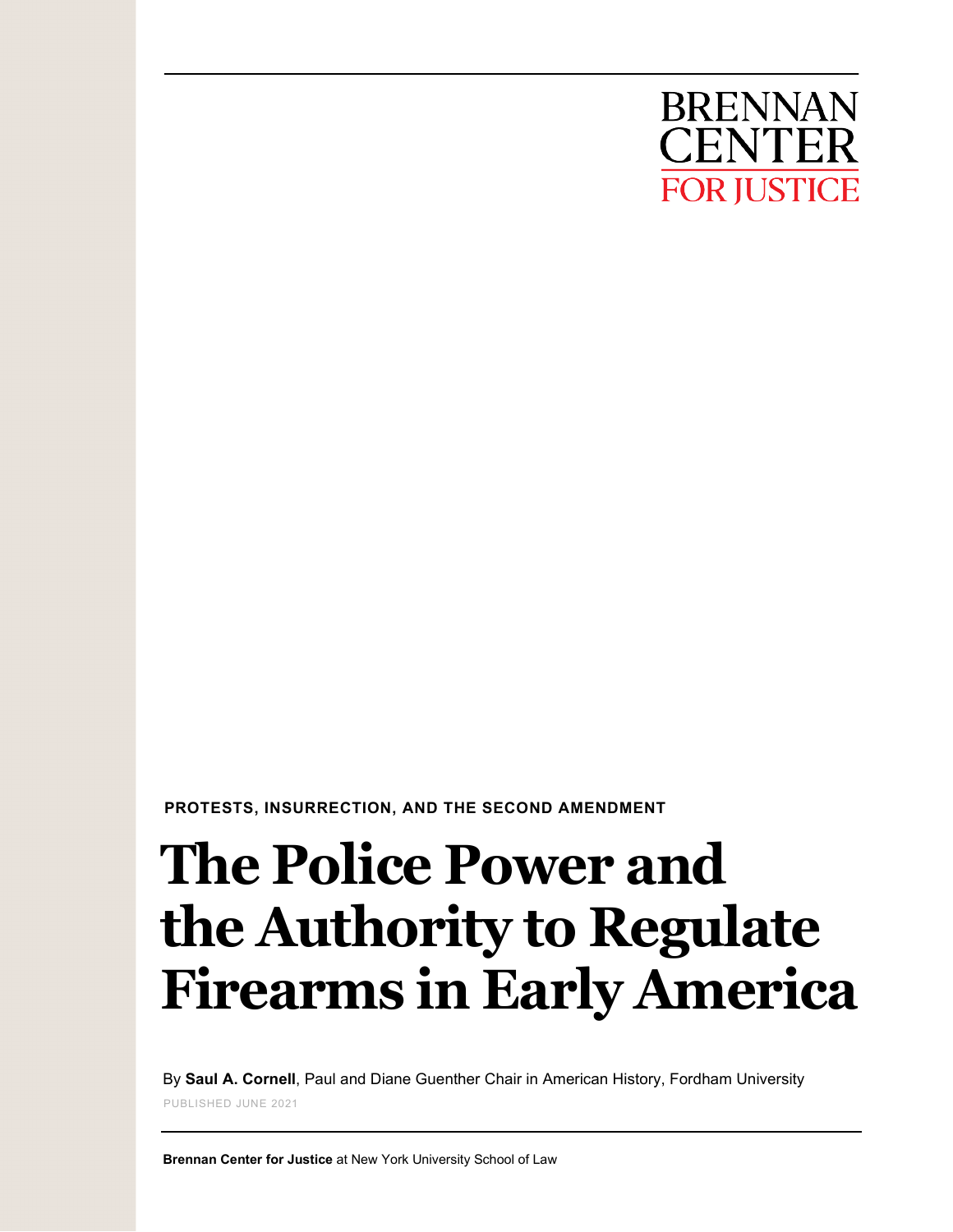

 **PROTESTS, INSURRECTION, AND THE SECOND AMENDMENT**

# **The Police Power and the Authority to Regulate Firearms in Early America**

By **Saul A. Cornell**, Paul and Diane Guenther Chair in American History, Fordham University PUBLISHED JUNE 2021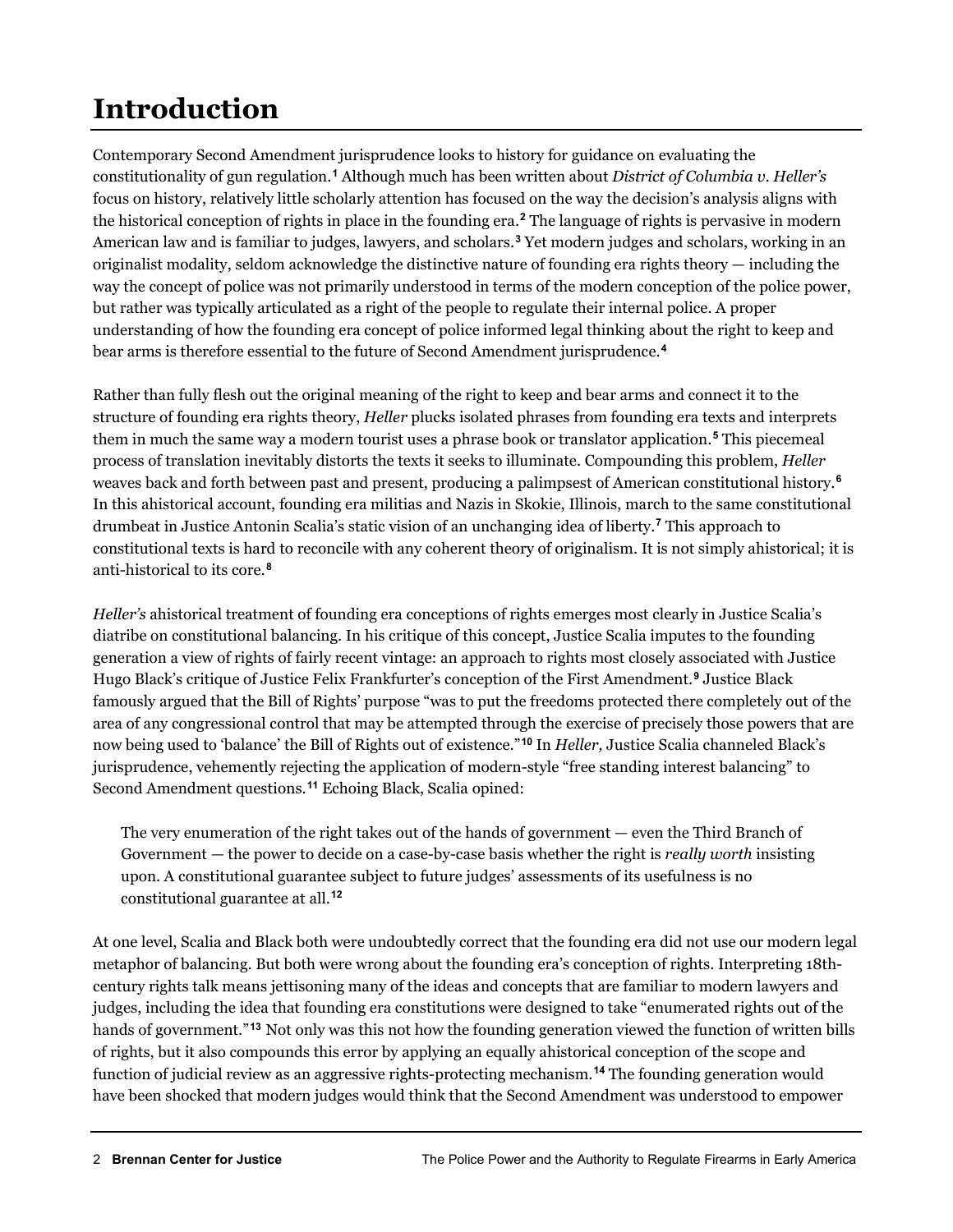# **Introduction**

Contemporary Second Amendment jurisprudence looks to history for guidance on evaluating the constitutionality of gun regulation.**[1](#page-12-0)** Although much has been written about *District of Columbia v. Heller's* focus on history, relatively little scholarly attention has focused on the way the decision's analysis aligns with the historical conception of rights in place in the founding era.**[2](#page-12-1)** The language of rights is pervasive in modern American law and is familiar to judges, lawyers, and scholars.**[3](#page-12-2)** Yet modern judges and scholars, working in an originalist modality, seldom acknowledge the distinctive nature of founding era rights theory — including the way the concept of police was not primarily understood in terms of the modern conception of the police power, but rather was typically articulated as a right of the people to regulate their internal police. A proper understanding of how the founding era concept of police informed legal thinking about the right to keep and bear arms is therefore essential to the future of Second Amendment jurisprudence.**[4](#page-12-3)**

Rather than fully flesh out the original meaning of the right to keep and bear arms and connect it to the structure of founding era rights theory, *Heller* plucks isolated phrases from founding era texts and interprets them in much the same way a modern tourist uses a phrase book or translator application.**[5](#page-12-4)** This piecemeal process of translation inevitably distorts the texts it seeks to illuminate. Compounding this problem, *Heller* weaves back and forth between past and present, producing a palimpsest of American constitutional history.**[6](#page-12-5)** In this ahistorical account, founding era militias and Nazis in Skokie, Illinois, march to the same constitutional drumbeat in Justice Antonin Scalia's static vision of an unchanging idea of liberty.**[7](#page-12-6)** This approach to constitutional texts is hard to reconcile with any coherent theory of originalism. It is not simply ahistorical; it is anti-historical to its core.**[8](#page-12-7)**

*Heller's* ahistorical treatment of founding era conceptions of rights emerges most clearly in Justice Scalia's diatribe on constitutional balancing. In his critique of this concept, Justice Scalia imputes to the founding generation a view of rights of fairly recent vintage: an approach to rights most closely associated with Justice Hugo Black's critique of Justice Felix Frankfurter's conception of the First Amendment.**[9](#page-12-8)** Justice Black famously argued that the Bill of Rights' purpose "was to put the freedoms protected there completely out of the area of any congressional control that may be attempted through the exercise of precisely those powers that are now being used to 'balance' the Bill of Rights out of existence."**[10](#page-12-9)** In *Heller,* Justice Scalia channeled Black's jurisprudence, vehemently rejecting the application of modern-style "free standing interest balancing" to Second Amendment questions.**[11](#page-12-10)** Echoing Black, Scalia opined:

The very enumeration of the right takes out of the hands of government — even the Third Branch of Government — the power to decide on a case-by-case basis whether the right is *really worth* insisting upon. A constitutional guarantee subject to future judges' assessments of its usefulness is no constitutional guarantee at all.**[12](#page-12-11)**

At one level, Scalia and Black both were undoubtedly correct that the founding era did not use our modern legal metaphor of balancing. But both were wrong about the founding era's conception of rights. Interpreting 18thcentury rights talk means jettisoning many of the ideas and concepts that are familiar to modern lawyers and judges, including the idea that founding era constitutions were designed to take "enumerated rights out of the hands of government."**[13](#page-12-12)** Not only was this not how the founding generation viewed the function of written bills of rights, but it also compounds this error by applying an equally ahistorical conception of the scope and function of judicial review as an aggressive rights-protecting mechanism.**[14](#page-12-13)** The founding generation would have been shocked that modern judges would think that the Second Amendment was understood to empower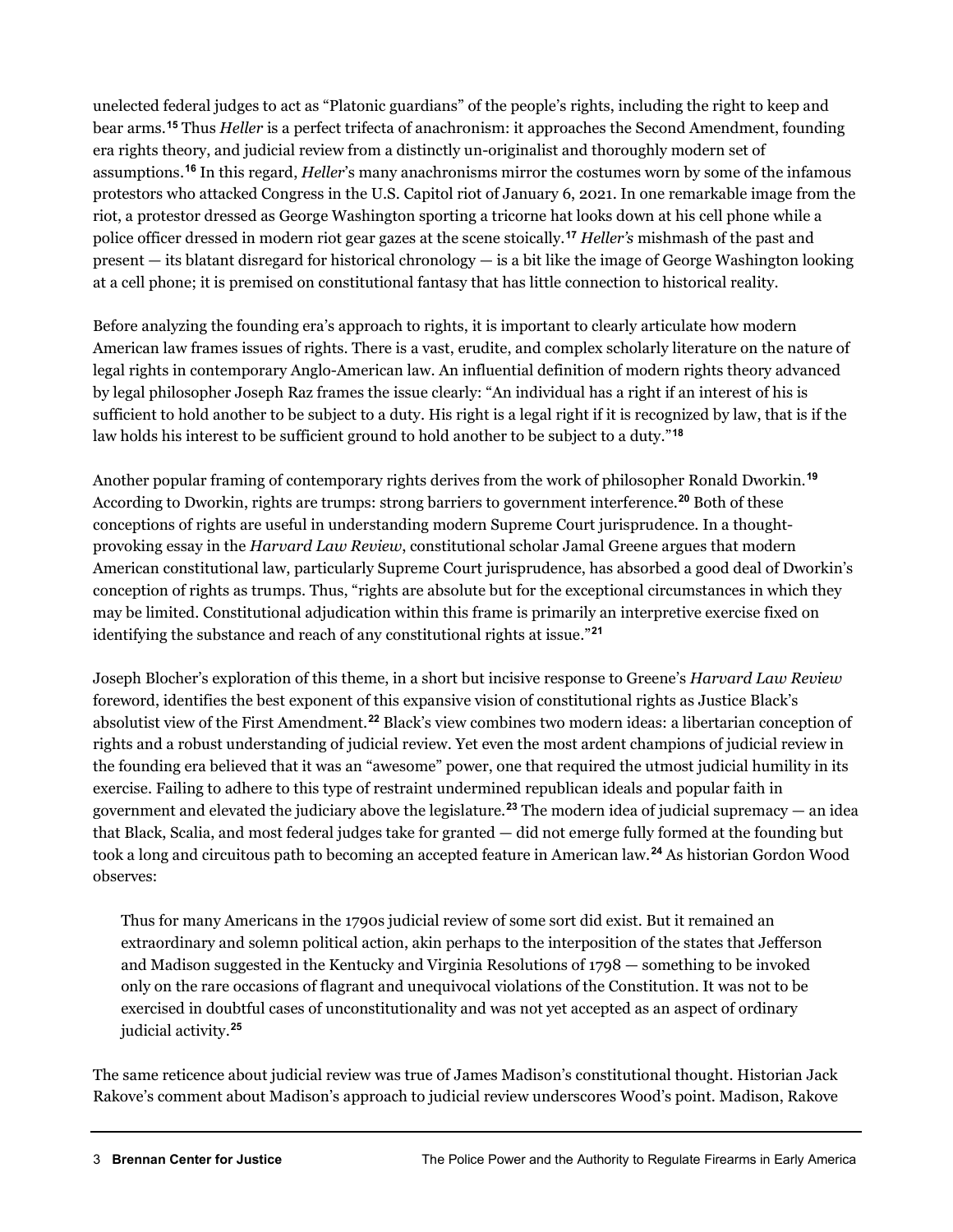unelected federal judges to act as "Platonic guardians" of the people's rights, including the right to keep and bear arms.**[15](#page-13-0)** Thus *Heller* is a perfect trifecta of anachronism: it approaches the Second Amendment, founding era rights theory, and judicial review from a distinctly un-originalist and thoroughly modern set of assumptions.**[16](#page-13-1)** In this regard, *Heller*'s many anachronisms mirror the costumes worn by some of the infamous protestors who attacked Congress in the U.S. Capitol riot of January 6, 2021. In one remarkable image from the riot, a protestor dressed as George Washington sporting a tricorne hat looks down at his cell phone while a police officer dressed in modern riot gear gazes at the scene stoically.**[17](#page-13-2)** *Heller's* mishmash of the past and present — its blatant disregard for historical chronology — is a bit like the image of George Washington looking at a cell phone; it is premised on constitutional fantasy that has little connection to historical reality.

Before analyzing the founding era's approach to rights, it is important to clearly articulate how modern American law frames issues of rights. There is a vast, erudite, and complex scholarly literature on the nature of legal rights in contemporary Anglo-American law. An influential definition of modern rights theory advanced by legal philosopher Joseph Raz frames the issue clearly: "An individual has a right if an interest of his is sufficient to hold another to be subject to a duty. His right is a legal right if it is recognized by law, that is if the law holds his interest to be sufficient ground to hold another to be subject to a duty."**[18](#page-13-3)**

Another popular framing of contemporary rights derives from the work of philosopher Ronald Dworkin.**[19](#page-13-4)** According to Dworkin, rights are trumps: strong barriers to government interference.**[20](#page-13-5)** Both of these conceptions of rights are useful in understanding modern Supreme Court jurisprudence. In a thoughtprovoking essay in the *Harvard Law Review*, constitutional scholar Jamal Greene argues that modern American constitutional law, particularly Supreme Court jurisprudence, has absorbed a good deal of Dworkin's conception of rights as trumps. Thus, "rights are absolute but for the exceptional circumstances in which they may be limited. Constitutional adjudication within this frame is primarily an interpretive exercise fixed on identifying the substance and reach of any constitutional rights at issue."**[21](#page-13-6)**

Joseph Blocher's exploration of this theme, in a short but incisive response to Greene's *Harvard Law Review* foreword, identifies the best exponent of this expansive vision of constitutional rights as Justice Black's absolutist view of the First Amendment.**[22](#page-13-7)** Black's view combines two modern ideas: a libertarian conception of rights and a robust understanding of judicial review. Yet even the most ardent champions of judicial review in the founding era believed that it was an "awesome" power, one that required the utmost judicial humility in its exercise. Failing to adhere to this type of restraint undermined republican ideals and popular faith in government and elevated the judiciary above the legislature.**[23](#page-13-8)** The modern idea of judicial supremacy — an idea that Black, Scalia, and most federal judges take for granted — did not emerge fully formed at the founding but took a long and circuitous path to becoming an accepted feature in American law.**[24](#page-13-9)** As historian Gordon Wood observes:

Thus for many Americans in the 1790s judicial review of some sort did exist. But it remained an extraordinary and solemn political action, akin perhaps to the interposition of the states that Jefferson and Madison suggested in the Kentucky and Virginia Resolutions of 1798 — something to be invoked only on the rare occasions of flagrant and unequivocal violations of the Constitution. It was not to be exercised in doubtful cases of unconstitutionality and was not yet accepted as an aspect of ordinary judicial activity.**[25](#page-13-10)**

The same reticence about judicial review was true of James Madison's constitutional thought. Historian Jack Rakove's comment about Madison's approach to judicial review underscores Wood's point. Madison, Rakove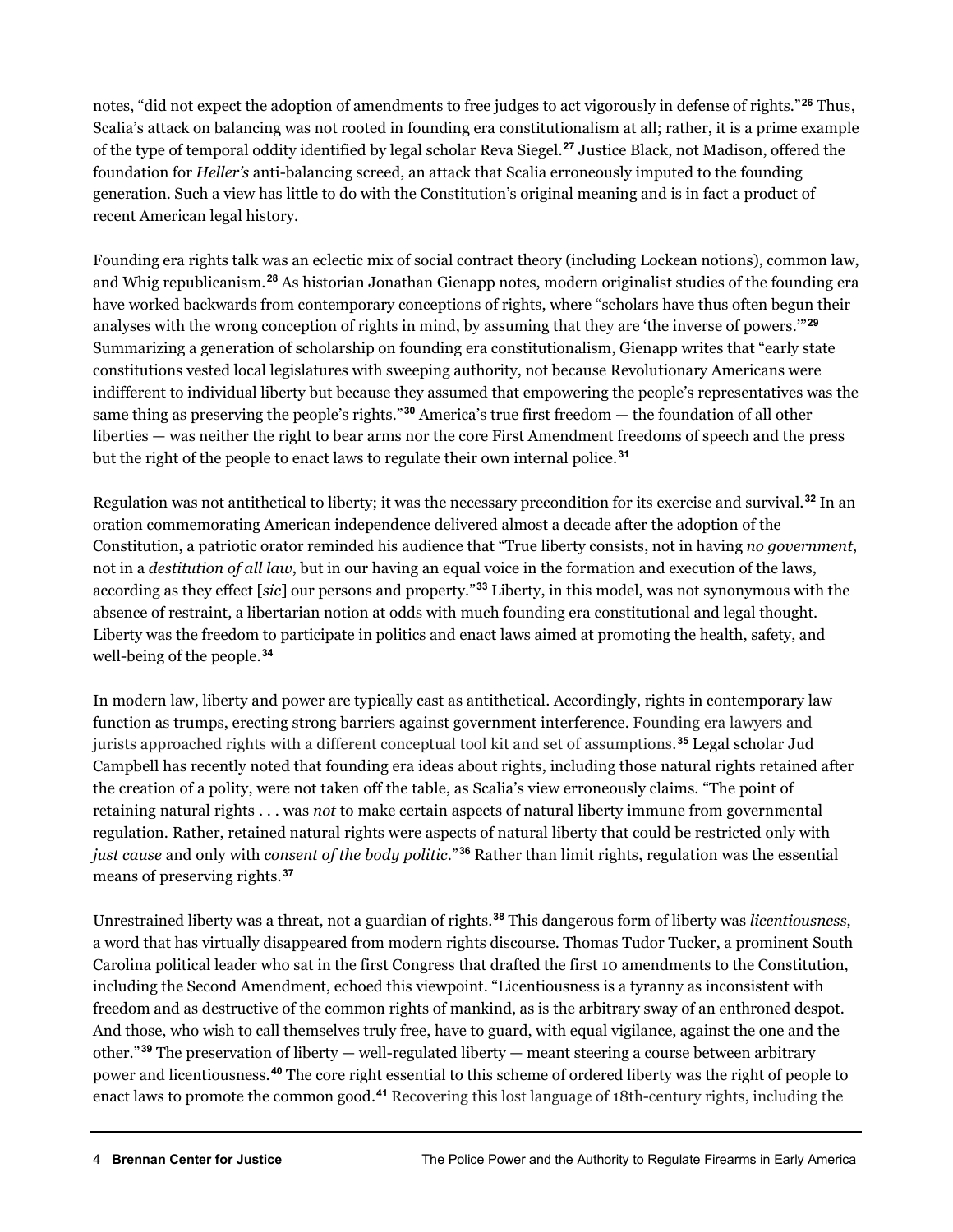notes, "did not expect the adoption of amendments to free judges to act vigorously in defense of rights."**[26](#page-13-11)** Thus, Scalia's attack on balancing was not rooted in founding era constitutionalism at all; rather, it is a prime example of the type of temporal oddity identified by legal scholar Reva Siegel.**[27](#page-13-12)** Justice Black, not Madison, offered the foundation for *Heller's* anti-balancing screed, an attack that Scalia erroneously imputed to the founding generation. Such a view has little to do with the Constitution's original meaning and is in fact a product of recent American legal history.

Founding era rights talk was an eclectic mix of social contract theory (including Lockean notions), common law, and Whig republicanism.**[28](#page-13-13)** As historian Jonathan Gienapp notes, modern originalist studies of the founding era have worked backwards from contemporary conceptions of rights, where "scholars have thus often begun their analyses with the wrong conception of rights in mind, by assuming that they are 'the inverse of powers.'"**[29](#page-13-14)** Summarizing a generation of scholarship on founding era constitutionalism, Gienapp writes that "early state constitutions vested local legislatures with sweeping authority, not because Revolutionary Americans were indifferent to individual liberty but because they assumed that empowering the people's representatives was the same thing as preserving the people's rights."**[30](#page-13-15)** America's true first freedom — the foundation of all other liberties — was neither the right to bear arms nor the core First Amendment freedoms of speech and the press but the right of the people to enact laws to regulate their own internal police.**[31](#page-13-16)**

Regulation was not antithetical to liberty; it was the necessary precondition for its exercise and survival.**[32](#page-13-17)** In an oration commemorating American independence delivered almost a decade after the adoption of the Constitution, a patriotic orator reminded his audience that "True liberty consists, not in having *no government*, not in a *destitution of all law*, but in our having an equal voice in the formation and execution of the laws, according as they effect [*sic*] our persons and property."**[33](#page-13-18)** Liberty, in this model, was not synonymous with the absence of restraint, a libertarian notion at odds with much founding era constitutional and legal thought. Liberty was the freedom to participate in politics and enact laws aimed at promoting the health, safety, and well-being of the people.**[34](#page-14-0)**

In modern law, liberty and power are typically cast as antithetical. Accordingly, rights in contemporary law function as trumps, erecting strong barriers against government interference. Founding era lawyers and jurists approached rights with a different conceptual tool kit and set of assumptions.**[35](#page-14-1)** Legal scholar Jud Campbell has recently noted that founding era ideas about rights, including those natural rights retained after the creation of a polity, were not taken off the table, as Scalia's view erroneously claims. "The point of retaining natural rights . . . was *not* to make certain aspects of natural liberty immune from governmental regulation. Rather, retained natural rights were aspects of natural liberty that could be restricted only with *just cause* and only with *consent of the body politic*."**[36](#page-14-2)** Rather than limit rights, regulation was the essential means of preserving rights.**[37](#page-14-3)**

Unrestrained liberty was a threat, not a guardian of rights.**[38](#page-14-4)** This dangerous form of liberty was *licentiousness*, a word that has virtually disappeared from modern rights discourse. Thomas Tudor Tucker, a prominent South Carolina political leader who sat in the first Congress that drafted the first 10 amendments to the Constitution, including the Second Amendment, echoed this viewpoint. "Licentiousness is a tyranny as inconsistent with freedom and as destructive of the common rights of mankind, as is the arbitrary sway of an enthroned despot. And those, who wish to call themselves truly free, have to guard, with equal vigilance, against the one and the other."**[39](#page-14-5)** The preservation of liberty — well-regulated liberty — meant steering a course between arbitrary power and licentiousness.**[40](#page-14-6)** The core right essential to this scheme of ordered liberty was the right of people to enact laws to promote the common good.**[41](#page-14-7)** Recovering this lost language of 18th-century rights, including the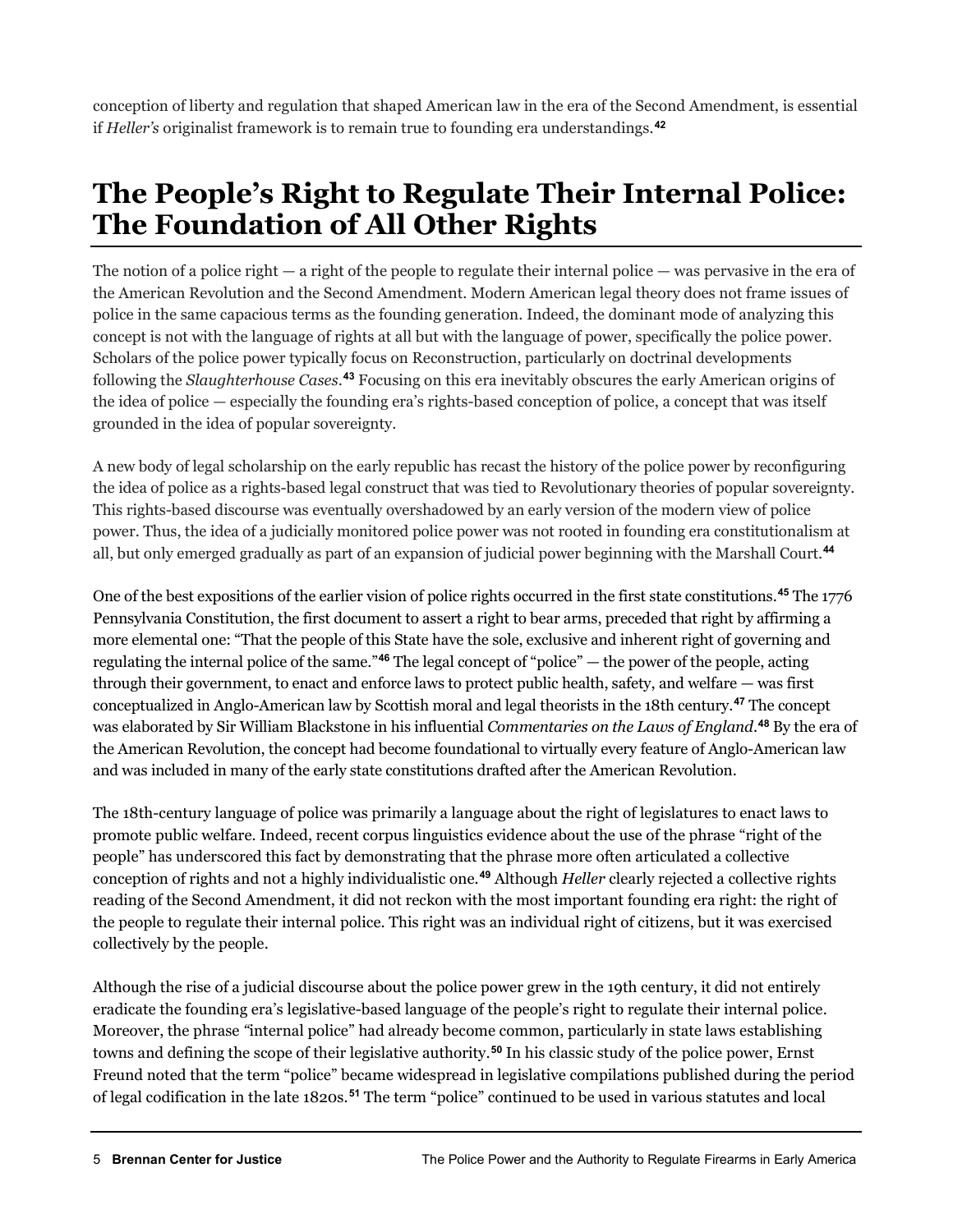conception of liberty and regulation that shaped American law in the era of the Second Amendment, is essential if *Heller's* originalist framework is to remain true to founding era understandings*.* **[42](#page-14-8)**

### **The People's Right to Regulate Their Internal Police: The Foundation of All Other Rights**

The notion of a police right — a right of the people to regulate their internal police — was pervasive in the era of the American Revolution and the Second Amendment. Modern American legal theory does not frame issues of police in the same capacious terms as the founding generation. Indeed, the dominant mode of analyzing this concept is not with the language of rights at all but with the language of power, specifically the police power. Scholars of the police power typically focus on Reconstruction, particularly on doctrinal developments following the *Slaughterhouse Cases*. **[43](#page-14-9)** Focusing on this era inevitably obscures the early American origins of the idea of police — especially the founding era's rights-based conception of police, a concept that was itself grounded in the idea of popular sovereignty.

A new body of legal scholarship on the early republic has recast the history of the police power by reconfiguring the idea of police as a rights-based legal construct that was tied to Revolutionary theories of popular sovereignty. This rights-based discourse was eventually overshadowed by an early version of the modern view of police power. Thus, the idea of a judicially monitored police power was not rooted in founding era constitutionalism at all, but only emerged gradually as part of an expansion of judicial power beginning with the Marshall Court.**[44](#page-14-10)**

One of the best expositions of the earlier vision of police rights occurred in the first state constitutions.**[45](#page-14-11)** The 1776 Pennsylvania Constitution, the first document to assert a right to bear arms, preceded that right by affirming a more elemental one: "That the people of this State have the sole, exclusive and inherent right of governing and regulating the internal police of the same."**[46](#page-14-12)** The legal concept of "police" — the power of the people, acting through their government, to enact and enforce laws to protect public health, safety, and welfare — was first conceptualized in Anglo-American law by Scottish moral and legal theorists in the 18th century.**[47](#page-14-13)** The concept was elaborated by Sir William Blackstone in his influential *Commentaries on the Laws of England*. **[48](#page-14-14)** By the era of the American Revolution, the concept had become foundational to virtually every feature of Anglo-American law and was included in many of the early state constitutions drafted after the American Revolution.

The 18th-century language of police was primarily a language about the right of legislatures to enact laws to promote public welfare. Indeed, recent corpus linguistics evidence about the use of the phrase "right of the people" has underscored this fact by demonstrating that the phrase more often articulated a collective conception of rights and not a highly individualistic one.**[49](#page-14-15)** Although *Heller* clearly rejected a collective rights reading of the Second Amendment, it did not reckon with the most important founding era right: the right of the people to regulate their internal police. This right was an individual right of citizens, but it was exercised collectively by the people.

Although the rise of a judicial discourse about the police power grew in the 19th century, it did not entirely eradicate the founding era's legislative-based language of the people's right to regulate their internal police. Moreover, the phrase *"*internal police" had already become common, particularly in state laws establishing towns and defining the scope of their legislative authority.**[50](#page-14-16)** In his classic study of the police power, Ernst Freund noted that the term "police" became widespread in legislative compilations published during the period of legal codification in the late 1820s.**[51](#page-14-17)** The term "police" continued to be used in various statutes and local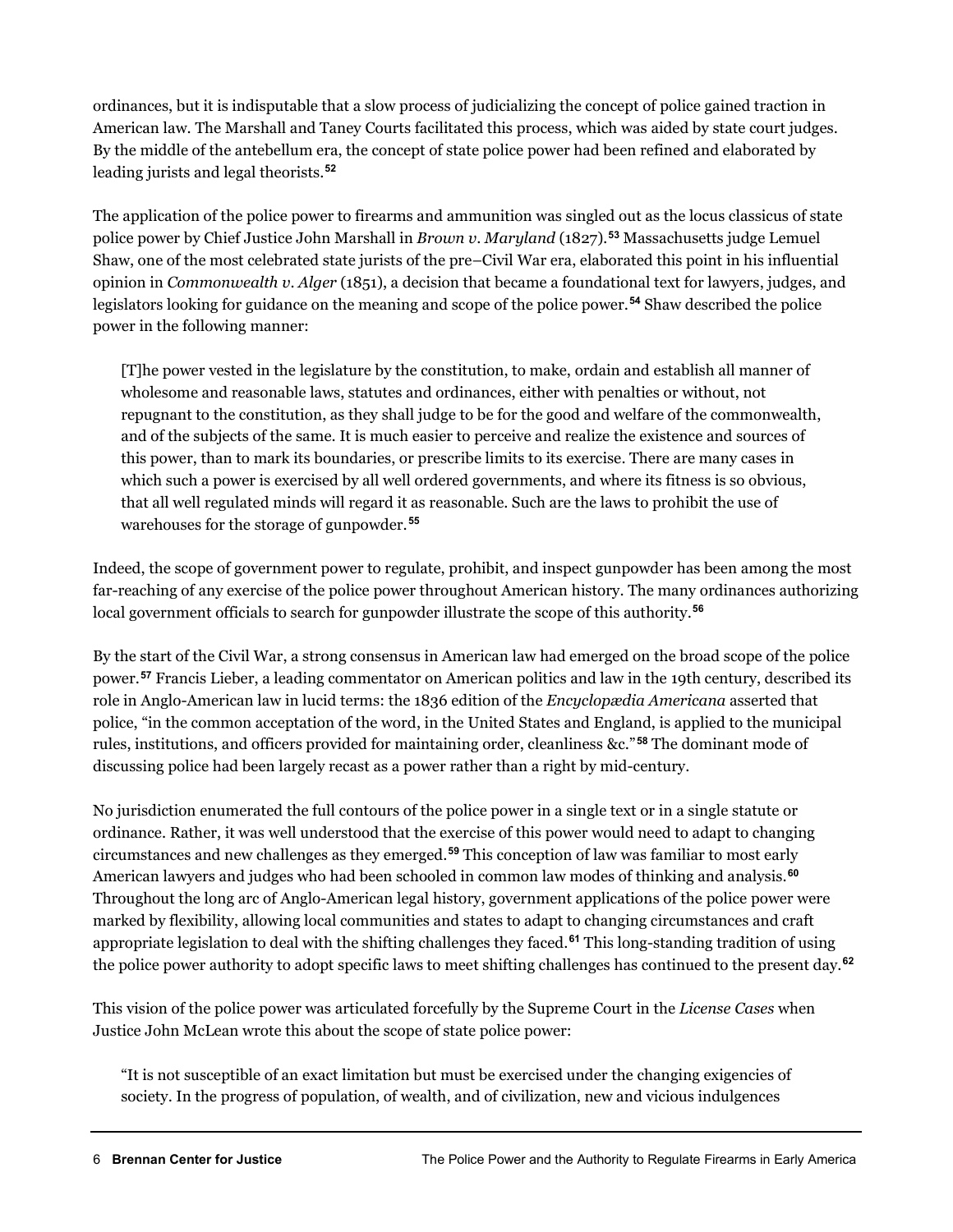ordinances, but it is indisputable that a slow process of judicializing the concept of police gained traction in American law. The Marshall and Taney Courts facilitated this process, which was aided by state court judges. By the middle of the antebellum era, the concept of state police power had been refined and elaborated by leading jurists and legal theorists.**[52](#page-14-18)**

The application of the police power to firearms and ammunition was singled out as the locus classicus of state police power by Chief Justice John Marshall in *Brown v*. *Maryland* (1827)*.* **[53](#page-14-19)** Massachusetts judge Lemuel Shaw, one of the most celebrated state jurists of the pre–Civil War era, elaborated this point in his influential opinion in *Commonwealth v*. *Alger* (1851), a decision that became a foundational text for lawyers, judges, and legislators looking for guidance on the meaning and scope of the police power.**[54](#page-14-20)** Shaw described the police power in the following manner:

[T]he power vested in the legislature by the constitution, to make, ordain and establish all manner of wholesome and reasonable laws, statutes and ordinances, either with penalties or without, not repugnant to the constitution, as they shall judge to be for the good and welfare of the commonwealth, and of the subjects of the same. It is much easier to perceive and realize the existence and sources of this power, than to mark its boundaries, or prescribe limits to its exercise. There are many cases in which such a power is exercised by all well ordered governments, and where its fitness is so obvious, that all well regulated minds will regard it as reasonable. Such are the laws to prohibit the use of warehouses for the storage of gunpowder.**[55](#page-15-0)**

Indeed, the scope of government power to regulate, prohibit, and inspect gunpowder has been among the most far-reaching of any exercise of the police power throughout American history. The many ordinances authorizing local government officials to search for gunpowder illustrate the scope of this authority.**[56](#page-15-1)**

By the start of the Civil War, a strong consensus in American law had emerged on the broad scope of the police power.**[57](#page-15-2)** Francis Lieber, a leading commentator on American politics and law in the 19th century, described its role in Anglo-American law in lucid terms: the 1836 edition of the *Encyclopædia Americana* asserted that police, "in the common acceptation of the word, in the United States and England, is applied to the municipal rules, institutions, and officers provided for maintaining order, cleanliness &c."**[58](#page-15-3)** The dominant mode of discussing police had been largely recast as a power rather than a right by mid-century.

No jurisdiction enumerated the full contours of the police power in a single text or in a single statute or ordinance. Rather, it was well understood that the exercise of this power would need to adapt to changing circumstances and new challenges as they emerged.**[59](#page-15-4)** This conception of law was familiar to most early American lawyers and judges who had been schooled in common law modes of thinking and analysis.**[60](#page-15-5)** Throughout the long arc of Anglo-American legal history, government applications of the police power were marked by flexibility, allowing local communities and states to adapt to changing circumstances and craft appropriate legislation to deal with the shifting challenges they faced.**[61](#page-15-6)** This long-standing tradition of using the police power authority to adopt specific laws to meet shifting challenges has continued to the present day.**[62](#page-15-7)**

This vision of the police power was articulated forcefully by the Supreme Court in the *License Cases* when Justice John McLean wrote this about the scope of state police power:

"It is not susceptible of an exact limitation but must be exercised under the changing exigencies of society. In the progress of population, of wealth, and of civilization, new and vicious indulgences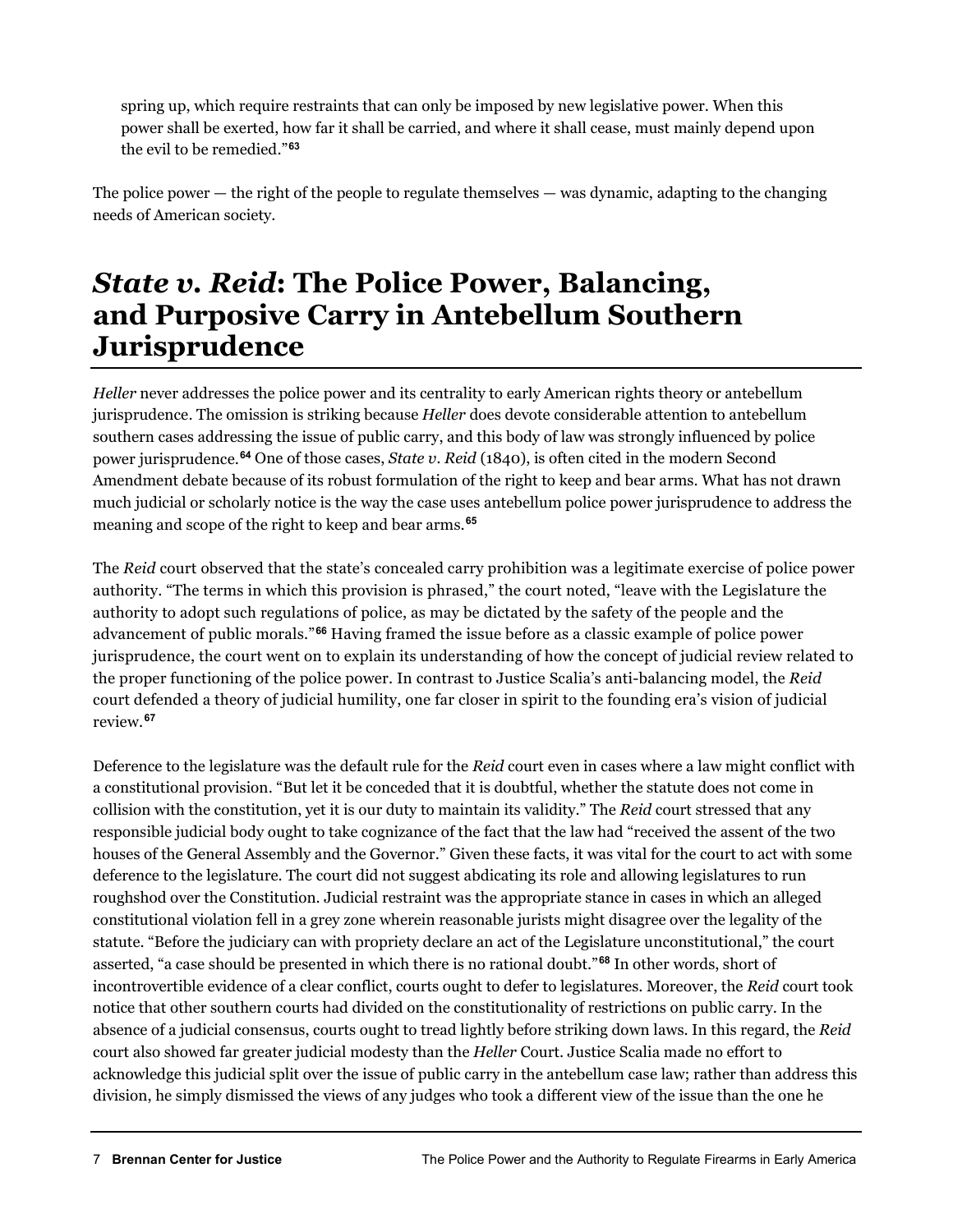spring up, which require restraints that can only be imposed by new legislative power. When this power shall be exerted, how far it shall be carried, and where it shall cease, must mainly depend upon the evil to be remedied."**[63](#page-15-8)**

The police power — the right of the people to regulate themselves — was dynamic, adapting to the changing needs of American society.

#### *State v. Reid***: The Police Power, Balancing, and Purposive Carry in Antebellum Southern Jurisprudence**

*Heller* never addresses the police power and its centrality to early American rights theory or antebellum jurisprudence. The omission is striking because *Heller* does devote considerable attention to antebellum southern cases addressing the issue of public carry, and this body of law was strongly influenced by police power jurisprudence.**[64](#page-15-9)** One of those cases, *State v. Reid* (1840), is often cited in the modern Second Amendment debate because of its robust formulation of the right to keep and bear arms. What has not drawn much judicial or scholarly notice is the way the case uses antebellum police power jurisprudence to address the meaning and scope of the right to keep and bear arms.**[65](#page-15-10)**

The *Reid* court observed that the state's concealed carry prohibition was a legitimate exercise of police power authority. "The terms in which this provision is phrased," the court noted, "leave with the Legislature the authority to adopt such regulations of police, as may be dictated by the safety of the people and the advancement of public morals."**[66](#page-15-11)** Having framed the issue before as a classic example of police power jurisprudence, the court went on to explain its understanding of how the concept of judicial review related to the proper functioning of the police power. In contrast to Justice Scalia's anti-balancing model, the *Reid* court defended a theory of judicial humility, one far closer in spirit to the founding era's vision of judicial review.**[67](#page-15-12)**

Deference to the legislature was the default rule for the *Reid* court even in cases where a law might conflict with a constitutional provision. "But let it be conceded that it is doubtful, whether the statute does not come in collision with the constitution, yet it is our duty to maintain its validity." The *Reid* court stressed that any responsible judicial body ought to take cognizance of the fact that the law had "received the assent of the two houses of the General Assembly and the Governor." Given these facts, it was vital for the court to act with some deference to the legislature. The court did not suggest abdicating its role and allowing legislatures to run roughshod over the Constitution. Judicial restraint was the appropriate stance in cases in which an alleged constitutional violation fell in a grey zone wherein reasonable jurists might disagree over the legality of the statute. "Before the judiciary can with propriety declare an act of the Legislature unconstitutional," the court asserted, "a case should be presented in which there is no rational doubt."**[68](#page-15-13)** In other words, short of incontrovertible evidence of a clear conflict, courts ought to defer to legislatures. Moreover, the *Reid* court took notice that other southern courts had divided on the constitutionality of restrictions on public carry. In the absence of a judicial consensus, courts ought to tread lightly before striking down laws. In this regard, the *Reid*  court also showed far greater judicial modesty than the *Heller* Court. Justice Scalia made no effort to acknowledge this judicial split over the issue of public carry in the antebellum case law; rather than address this division, he simply dismissed the views of any judges who took a different view of the issue than the one he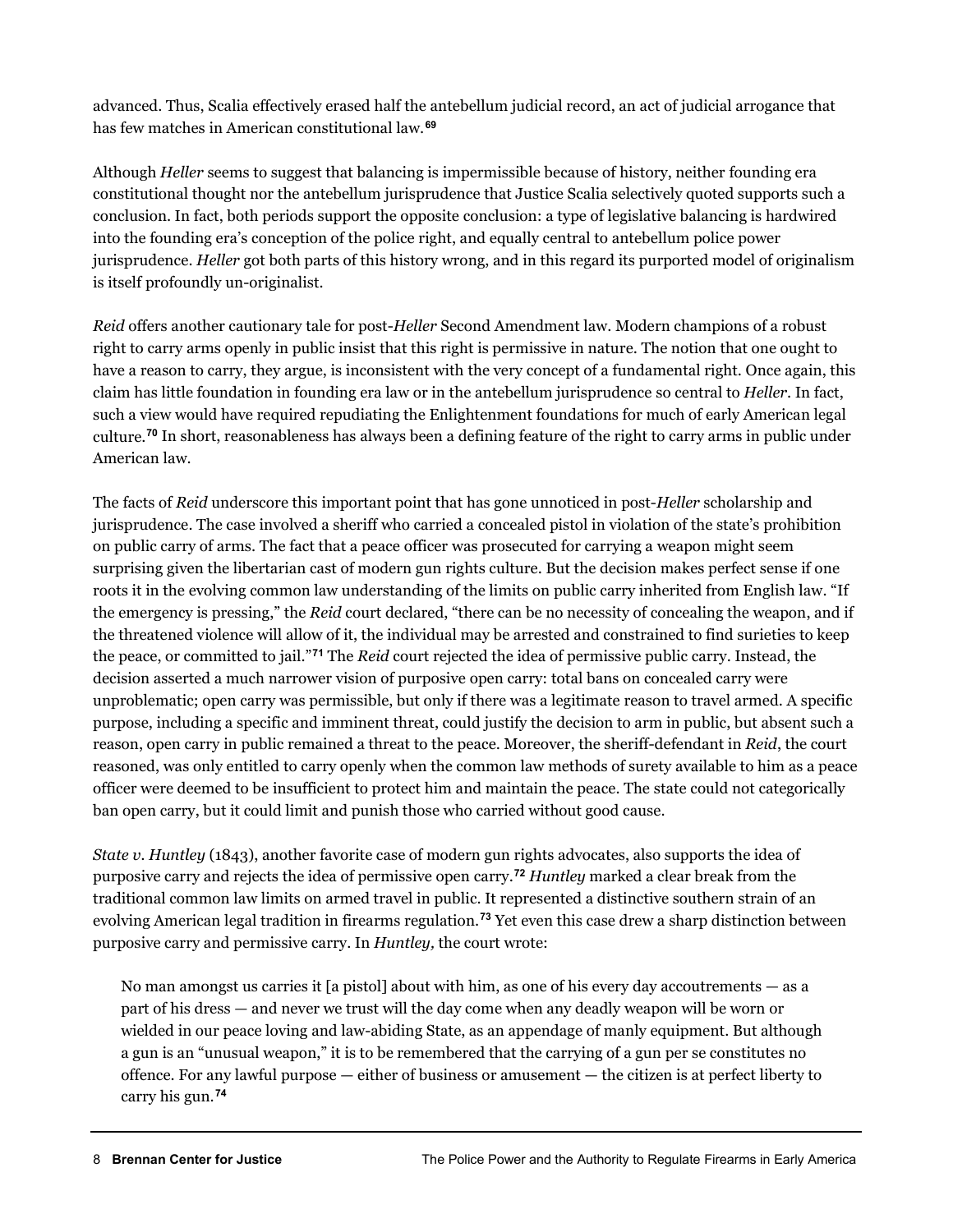advanced. Thus, Scalia effectively erased half the antebellum judicial record, an act of judicial arrogance that has few matches in American constitutional law.**[69](#page-15-14)**

Although *Heller* seems to suggest that balancing is impermissible because of history, neither founding era constitutional thought nor the antebellum jurisprudence that Justice Scalia selectively quoted supports such a conclusion. In fact, both periods support the opposite conclusion: a type of legislative balancing is hardwired into the founding era's conception of the police right, and equally central to antebellum police power jurisprudence. *Heller* got both parts of this history wrong, and in this regard its purported model of originalism is itself profoundly un-originalist.

*Reid* offers another cautionary tale for post-*Heller* Second Amendment law. Modern champions of a robust right to carry arms openly in public insist that this right is permissive in nature. The notion that one ought to have a reason to carry, they argue, is inconsistent with the very concept of a fundamental right. Once again, this claim has little foundation in founding era law or in the antebellum jurisprudence so central to *Heller*. In fact, such a view would have required repudiating the Enlightenment foundations for much of early American legal culture.**[70](#page-15-15)** In short, reasonableness has always been a defining feature of the right to carry arms in public under American law.

The facts of *Reid* underscore this important point that has gone unnoticed in post-*Heller* scholarship and jurisprudence. The case involved a sheriff who carried a concealed pistol in violation of the state's prohibition on public carry of arms. The fact that a peace officer was prosecuted for carrying a weapon might seem surprising given the libertarian cast of modern gun rights culture. But the decision makes perfect sense if one roots it in the evolving common law understanding of the limits on public carry inherited from English law. "If the emergency is pressing," the *Reid* court declared, "there can be no necessity of concealing the weapon, and if the threatened violence will allow of it, the individual may be arrested and constrained to find surieties to keep the peace, or committed to jail."**[71](#page-15-16)** The *Reid* court rejected the idea of permissive public carry. Instead, the decision asserted a much narrower vision of purposive open carry: total bans on concealed carry were unproblematic; open carry was permissible, but only if there was a legitimate reason to travel armed. A specific purpose, including a specific and imminent threat, could justify the decision to arm in public, but absent such a reason, open carry in public remained a threat to the peace. Moreover, the sheriff-defendant in *Reid*, the court reasoned, was only entitled to carry openly when the common law methods of surety available to him as a peace officer were deemed to be insufficient to protect him and maintain the peace. The state could not categorically ban open carry, but it could limit and punish those who carried without good cause.

*State v. Huntley* (1843), another favorite case of modern gun rights advocates, also supports the idea of purposive carry and rejects the idea of permissive open carry.**[72](#page-15-17)** *Huntley* marked a clear break from the traditional common law limits on armed travel in public. It represented a distinctive southern strain of an evolving American legal tradition in firearms regulation.**[73](#page-15-18)** Yet even this case drew a sharp distinction between purposive carry and permissive carry. In *Huntley,* the court wrote:

No man amongst us carries it [a pistol] about with him, as one of his every day accoutrements — as a part of his dress — and never we trust will the day come when any deadly weapon will be worn or wielded in our peace loving and law-abiding State, as an appendage of manly equipment. But although a gun is an "unusual weapon," it is to be remembered that the carrying of a gun per se constitutes no offence. For any lawful purpose — either of business or amusement — the citizen is at perfect liberty to carry his gun.**[74](#page-15-19)**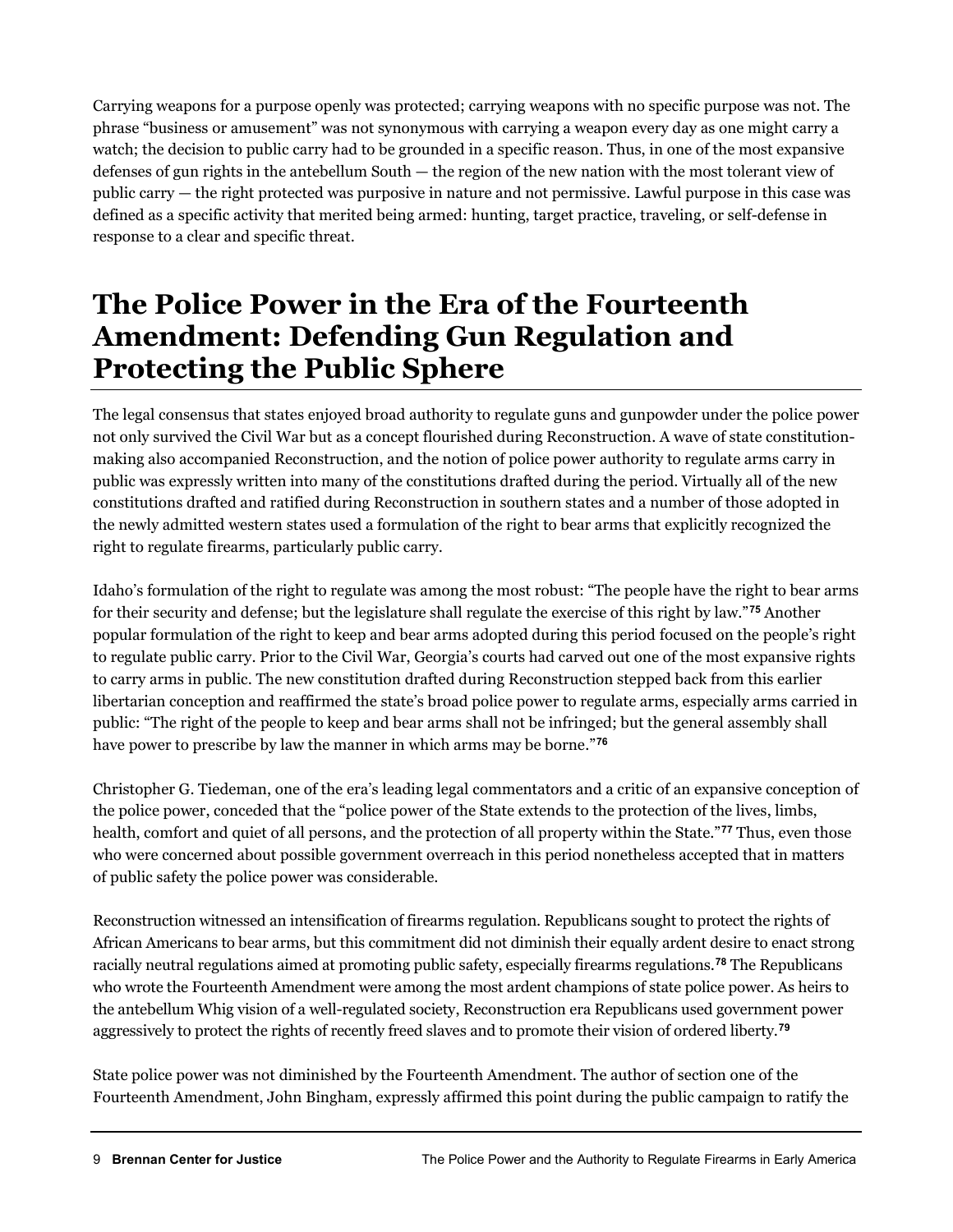Carrying weapons for a purpose openly was protected; carrying weapons with no specific purpose was not. The phrase "business or amusement" was not synonymous with carrying a weapon every day as one might carry a watch; the decision to public carry had to be grounded in a specific reason. Thus, in one of the most expansive defenses of gun rights in the antebellum South — the region of the new nation with the most tolerant view of public carry — the right protected was purposive in nature and not permissive. Lawful purpose in this case was defined as a specific activity that merited being armed: hunting, target practice, traveling, or self-defense in response to a clear and specific threat.

#### **The Police Power in the Era of the Fourteenth Amendment: Defending Gun Regulation and Protecting the Public Sphere**

The legal consensus that states enjoyed broad authority to regulate guns and gunpowder under the police power not only survived the Civil War but as a concept flourished during Reconstruction. A wave of state constitutionmaking also accompanied Reconstruction, and the notion of police power authority to regulate arms carry in public was expressly written into many of the constitutions drafted during the period. Virtually all of the new constitutions drafted and ratified during Reconstruction in southern states and a number of those adopted in the newly admitted western states used a formulation of the right to bear arms that explicitly recognized the right to regulate firearms, particularly public carry.

Idaho's formulation of the right to regulate was among the most robust: "The people have the right to bear arms for their security and defense; but the legislature shall regulate the exercise of this right by law."**[75](#page-15-20)** Another popular formulation of the right to keep and bear arms adopted during this period focused on the people's right to regulate public carry. Prior to the Civil War, Georgia's courts had carved out one of the most expansive rights to carry arms in public. The new constitution drafted during Reconstruction stepped back from this earlier libertarian conception and reaffirmed the state's broad police power to regulate arms, especially arms carried in public: "The right of the people to keep and bear arms shall not be infringed; but the general assembly shall have power to prescribe by law the manner in which arms may be borne."**[76](#page-15-21)**

Christopher G. Tiedeman, one of the era's leading legal commentators and a critic of an expansive conception of the police power, conceded that the "police power of the State extends to the protection of the lives, limbs, health, comfort and quiet of all persons, and the protection of all property within the State."**[77](#page-15-22)** Thus, even those who were concerned about possible government overreach in this period nonetheless accepted that in matters of public safety the police power was considerable.

Reconstruction witnessed an intensification of firearms regulation. Republicans sought to protect the rights of African Americans to bear arms, but this commitment did not diminish their equally ardent desire to enact strong racially neutral regulations aimed at promoting public safety, especially firearms regulations.**[78](#page-15-23)** The Republicans who wrote the Fourteenth Amendment were among the most ardent champions of state police power. As heirs to the antebellum Whig vision of a well-regulated society, Reconstruction era Republicans used government power aggressively to protect the rights of recently freed slaves and to promote their vision of ordered liberty.**[79](#page-15-24)**

State police power was not diminished by the Fourteenth Amendment. The author of section one of the Fourteenth Amendment, John Bingham, expressly affirmed this point during the public campaign to ratify the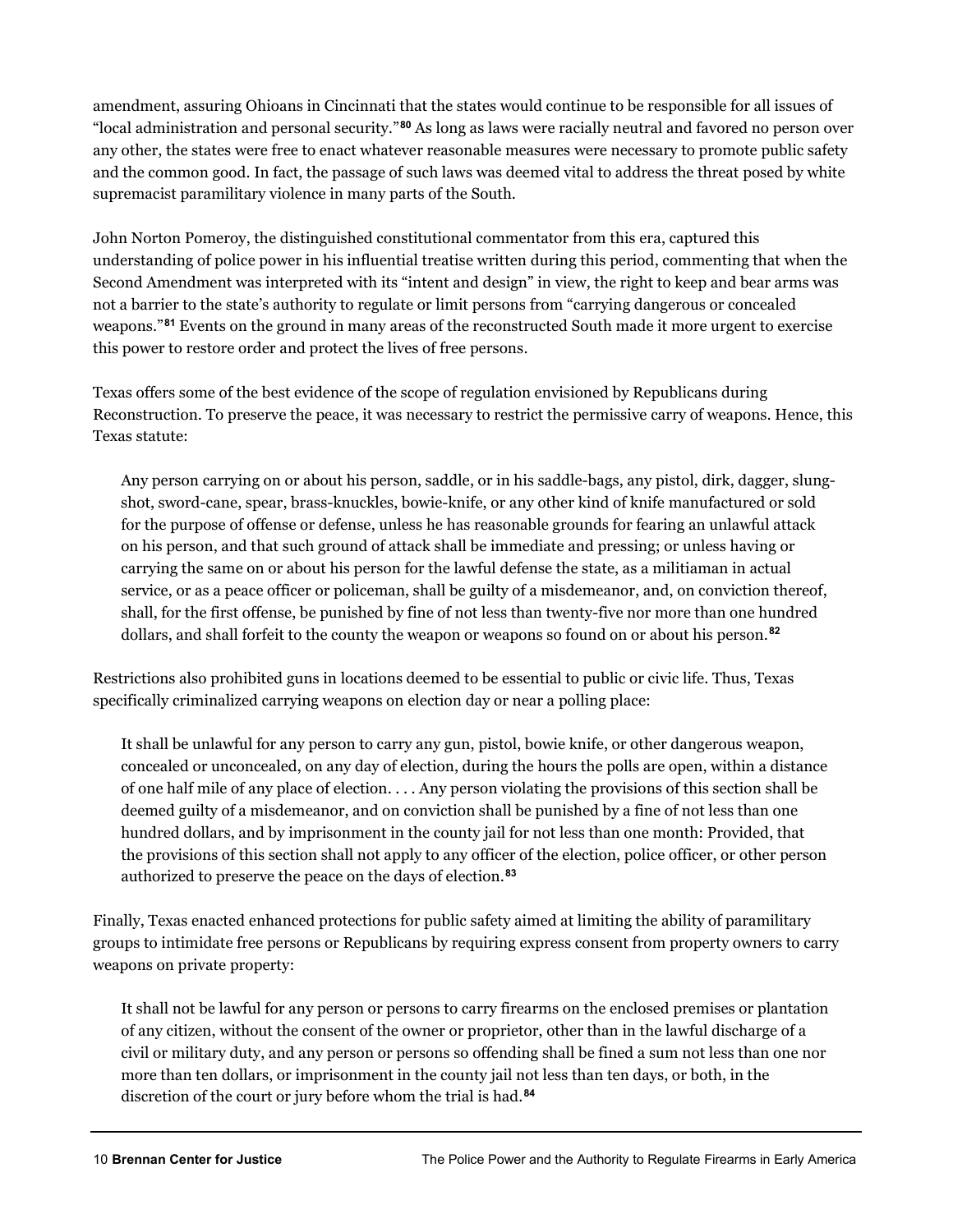amendment, assuring Ohioans in Cincinnati that the states would continue to be responsible for all issues of "local administration and personal security."**[80](#page-16-0)** As long as laws were racially neutral and favored no person over any other, the states were free to enact whatever reasonable measures were necessary to promote public safety and the common good. In fact, the passage of such laws was deemed vital to address the threat posed by white supremacist paramilitary violence in many parts of the South.

John Norton Pomeroy, the distinguished constitutional commentator from this era, captured this understanding of police power in his influential treatise written during this period, commenting that when the Second Amendment was interpreted with its "intent and design" in view, the right to keep and bear arms was not a barrier to the state's authority to regulate or limit persons from "carrying dangerous or concealed weapons."**[81](#page-16-1)** Events on the ground in many areas of the reconstructed South made it more urgent to exercise this power to restore order and protect the lives of free persons.

Texas offers some of the best evidence of the scope of regulation envisioned by Republicans during Reconstruction. To preserve the peace, it was necessary to restrict the permissive carry of weapons. Hence, this Texas statute:

Any person carrying on or about his person, saddle, or in his saddle-bags, any pistol, dirk, dagger, slungshot, sword-cane, spear, brass-knuckles, bowie-knife, or any other kind of knife manufactured or sold for the purpose of offense or defense, unless he has reasonable grounds for fearing an unlawful attack on his person, and that such ground of attack shall be immediate and pressing; or unless having or carrying the same on or about his person for the lawful defense the state, as a militiaman in actual service, or as a peace officer or policeman, shall be guilty of a misdemeanor, and, on conviction thereof, shall, for the first offense, be punished by fine of not less than twenty-five nor more than one hundred dollars, and shall forfeit to the county the weapon or weapons so found on or about his person.**[82](#page-16-2)**

Restrictions also prohibited guns in locations deemed to be essential to public or civic life. Thus, Texas specifically criminalized carrying weapons on election day or near a polling place:

It shall be unlawful for any person to carry any gun, pistol, bowie knife, or other dangerous weapon, concealed or unconcealed, on any day of election, during the hours the polls are open, within a distance of one half mile of any place of election. . . . Any person violating the provisions of this section shall be deemed guilty of a misdemeanor, and on conviction shall be punished by a fine of not less than one hundred dollars, and by imprisonment in the county jail for not less than one month: Provided, that the provisions of this section shall not apply to any officer of the election, police officer, or other person authorized to preserve the peace on the days of election.**[83](#page-16-3)**

Finally, Texas enacted enhanced protections for public safety aimed at limiting the ability of paramilitary groups to intimidate free persons or Republicans by requiring express consent from property owners to carry weapons on private property:

It shall not be lawful for any person or persons to carry firearms on the enclosed premises or plantation of any citizen, without the consent of the owner or proprietor, other than in the lawful discharge of a civil or military duty, and any person or persons so offending shall be fined a sum not less than one nor more than ten dollars, or imprisonment in the county jail not less than ten days, or both, in the discretion of the court or jury before whom the trial is had.**[84](#page-16-4)**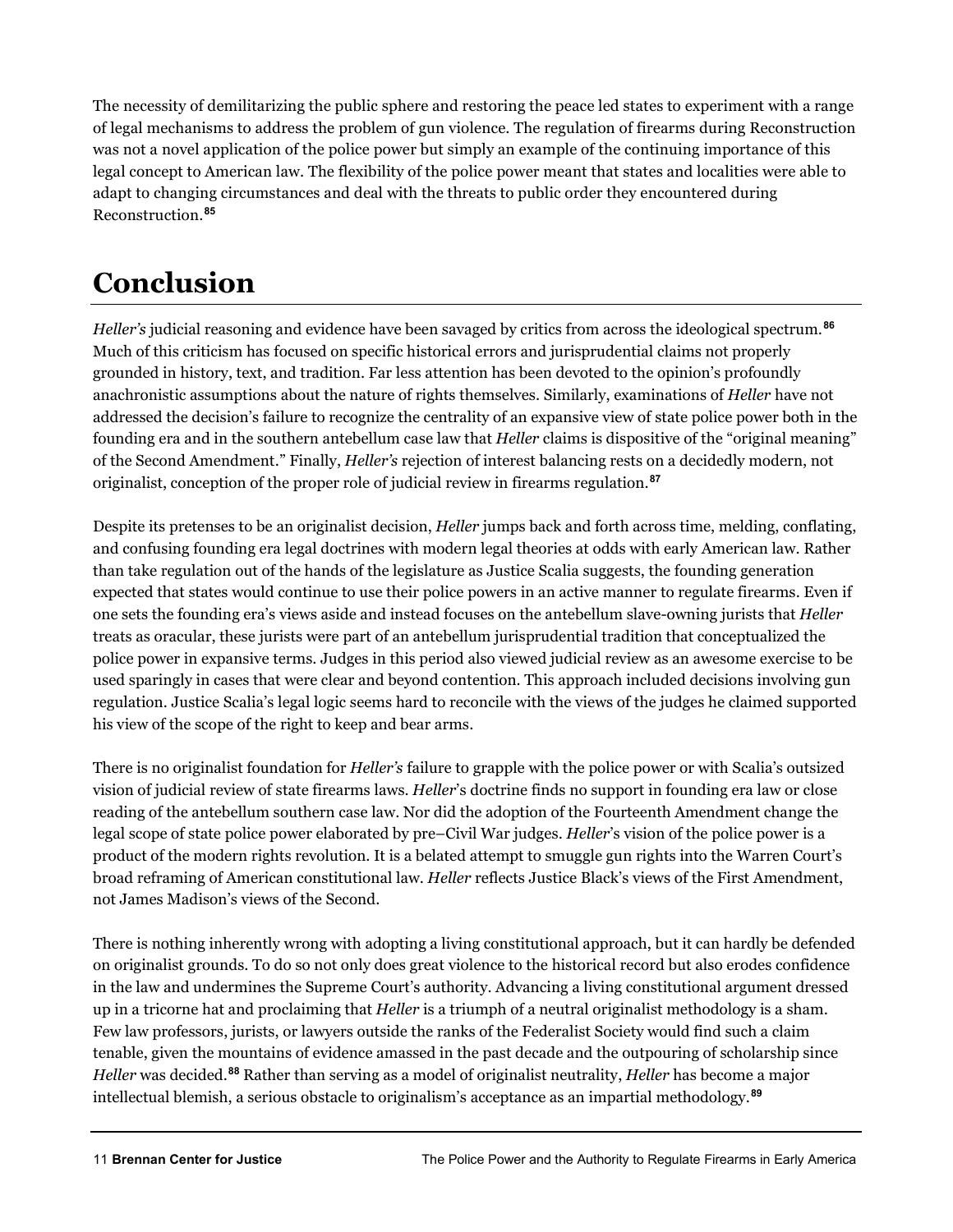The necessity of demilitarizing the public sphere and restoring the peace led states to experiment with a range of legal mechanisms to address the problem of gun violence. The regulation of firearms during Reconstruction was not a novel application of the police power but simply an example of the continuing importance of this legal concept to American law. The flexibility of the police power meant that states and localities were able to adapt to changing circumstances and deal with the threats to public order they encountered during Reconstruction.**[85](#page-16-5)**

## **Conclusion**

*Heller's* judicial reasoning and evidence have been savaged by critics from across the ideological spectrum.**[86](#page-16-6)** Much of this criticism has focused on specific historical errors and jurisprudential claims not properly grounded in history, text, and tradition. Far less attention has been devoted to the opinion's profoundly anachronistic assumptions about the nature of rights themselves. Similarly, examinations of *Heller* have not addressed the decision's failure to recognize the centrality of an expansive view of state police power both in the founding era and in the southern antebellum case law that *Heller* claims is dispositive of the "original meaning" of the Second Amendment." Finally, *Heller's* rejection of interest balancing rests on a decidedly modern, not originalist, conception of the proper role of judicial review in firearms regulation.**[87](#page-16-7)**

Despite its pretenses to be an originalist decision, *Heller* jumps back and forth across time, melding, conflating, and confusing founding era legal doctrines with modern legal theories at odds with early American law. Rather than take regulation out of the hands of the legislature as Justice Scalia suggests, the founding generation expected that states would continue to use their police powers in an active manner to regulate firearms. Even if one sets the founding era's views aside and instead focuses on the antebellum slave-owning jurists that *Heller* treats as oracular, these jurists were part of an antebellum jurisprudential tradition that conceptualized the police power in expansive terms. Judges in this period also viewed judicial review as an awesome exercise to be used sparingly in cases that were clear and beyond contention. This approach included decisions involving gun regulation. Justice Scalia's legal logic seems hard to reconcile with the views of the judges he claimed supported his view of the scope of the right to keep and bear arms.

There is no originalist foundation for *Heller's* failure to grapple with the police power or with Scalia's outsized vision of judicial review of state firearms laws. *Heller*'s doctrine finds no support in founding era law or close reading of the antebellum southern case law. Nor did the adoption of the Fourteenth Amendment change the legal scope of state police power elaborated by pre–Civil War judges. *Heller*'s vision of the police power is a product of the modern rights revolution. It is a belated attempt to smuggle gun rights into the Warren Court's broad reframing of American constitutional law. *Heller* reflects Justice Black's views of the First Amendment, not James Madison's views of the Second.

There is nothing inherently wrong with adopting a living constitutional approach, but it can hardly be defended on originalist grounds. To do so not only does great violence to the historical record but also erodes confidence in the law and undermines the Supreme Court's authority. Advancing a living constitutional argument dressed up in a tricorne hat and proclaiming that *Heller* is a triumph of a neutral originalist methodology is a sham. Few law professors, jurists, or lawyers outside the ranks of the Federalist Society would find such a claim tenable, given the mountains of evidence amassed in the past decade and the outpouring of scholarship since *Heller* was decided.**[88](#page-16-8)** Rather than serving as a model of originalist neutrality, *Heller* has become a major intellectual blemish, a serious obstacle to originalism's acceptance as an impartial methodology.**[89](#page-16-9)**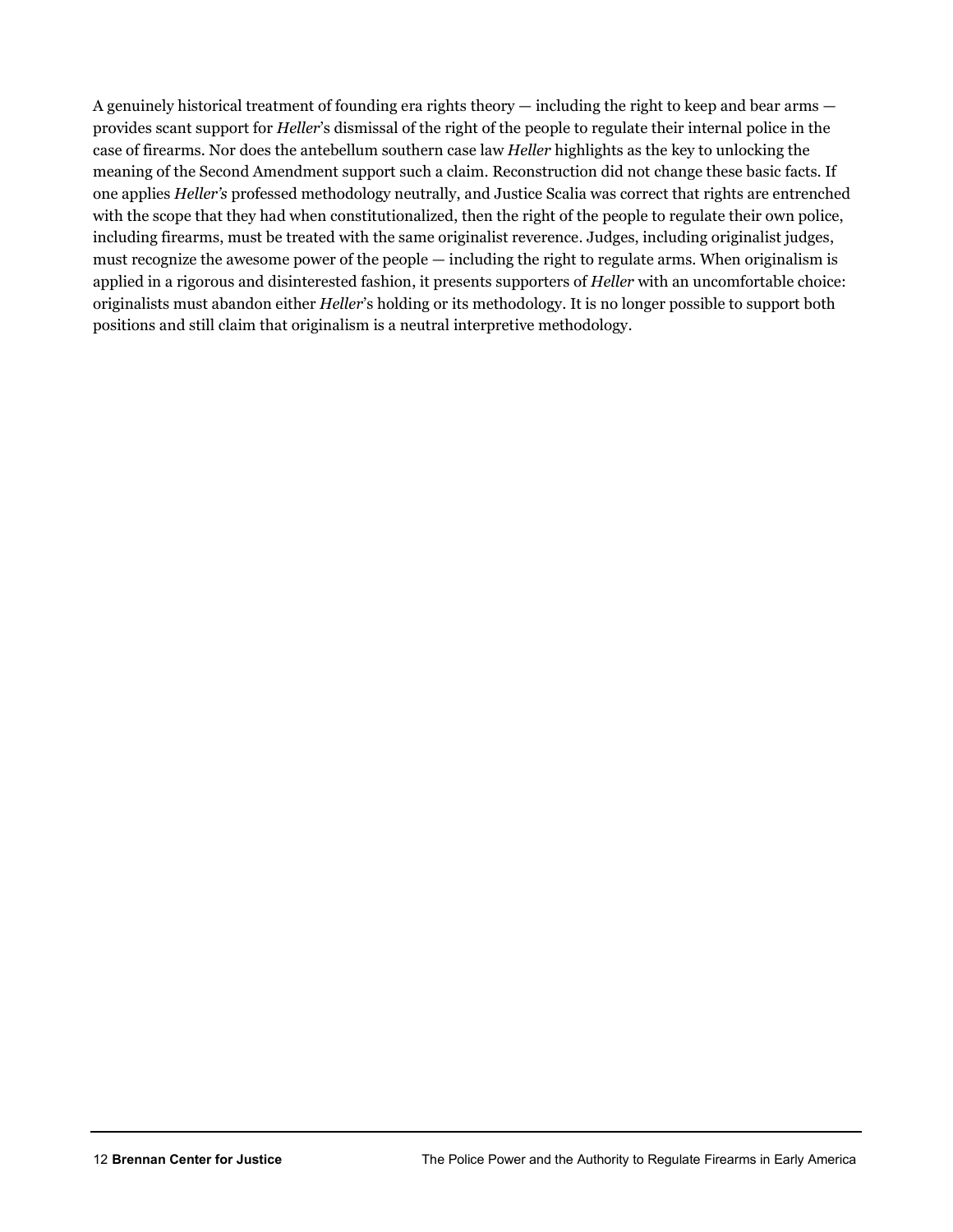A genuinely historical treatment of founding era rights theory — including the right to keep and bear arms provides scant support for *Heller*'s dismissal of the right of the people to regulate their internal police in the case of firearms. Nor does the antebellum southern case law *Heller* highlights as the key to unlocking the meaning of the Second Amendment support such a claim. Reconstruction did not change these basic facts. If one applies *Heller's* professed methodology neutrally, and Justice Scalia was correct that rights are entrenched with the scope that they had when constitutionalized, then the right of the people to regulate their own police, including firearms, must be treated with the same originalist reverence. Judges, including originalist judges, must recognize the awesome power of the people — including the right to regulate arms. When originalism is applied in a rigorous and disinterested fashion, it presents supporters of *Heller* with an uncomfortable choice: originalists must abandon either *Heller*'s holding or its methodology. It is no longer possible to support both positions and still claim that originalism is a neutral interpretive methodology.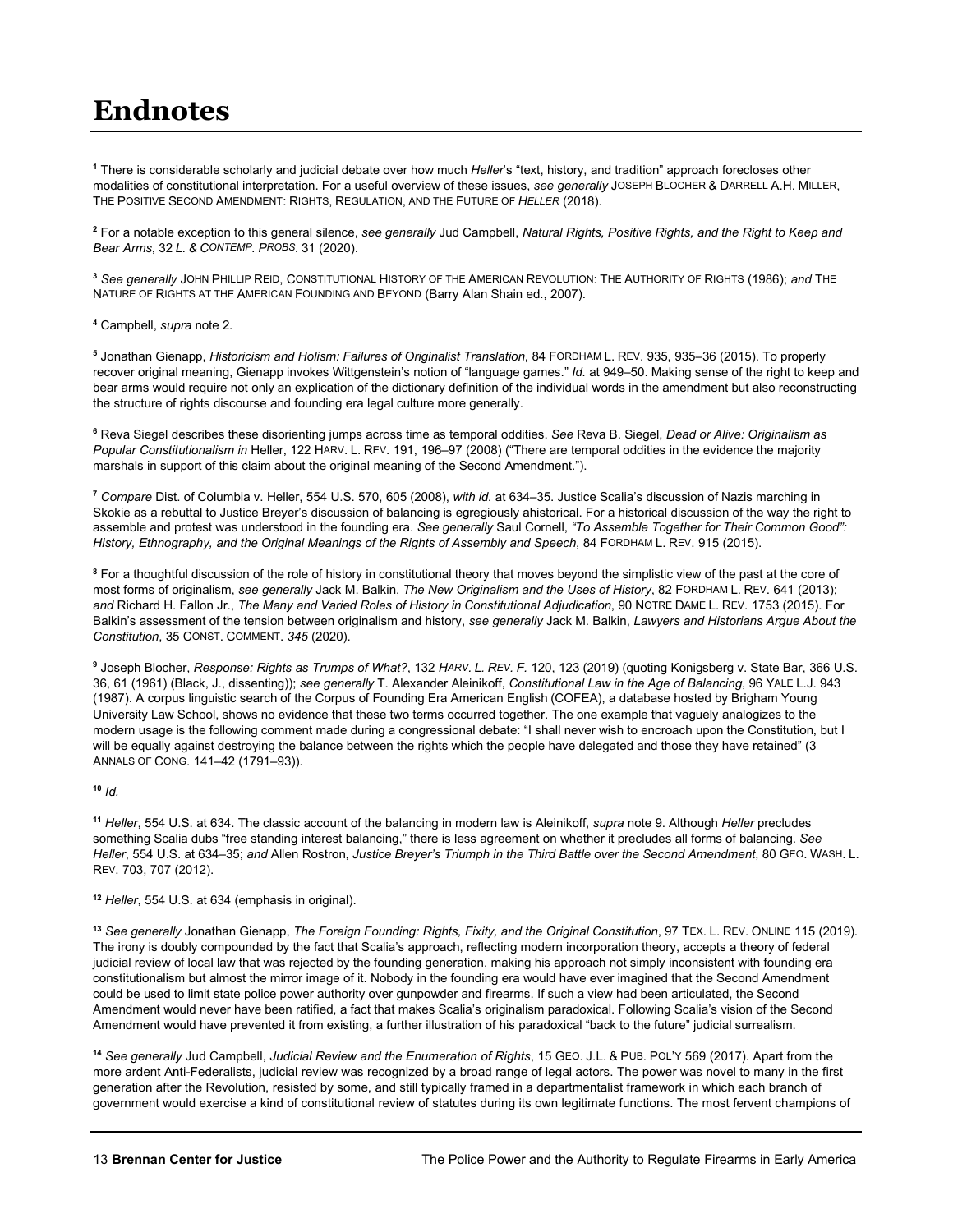#### **Endnotes**

<span id="page-12-0"></span>**<sup>1</sup>** There is considerable scholarly and judicial debate over how much *Heller*'s "text, history, and tradition" approach forecloses other modalities of constitutional interpretation. For a useful overview of these issues, *see generally* JOSEPH BLOCHER & DARRELL A.H. MILLER, THE POSITIVE SECOND AMENDMENT: RIGHTS, REGULATION, AND THE FUTURE OF *HELLER* (2018).

<span id="page-12-1"></span>**<sup>2</sup>** For a notable exception to this general silence, *see generally* Jud Campbell, *Natural Rights, Positive Rights, and the Right to Keep and Bear Arms*, 32 *L. & CONTEMP. PROBS.* 31 (2020).

<span id="page-12-2"></span>**<sup>3</sup>** *See generally* JOHN PHILLIP REID, CONSTITUTIONAL HISTORY OF THE AMERICAN REVOLUTION: THE AUTHORITY OF RIGHTS (1986); *and* THE NATURE OF RIGHTS AT THE AMERICAN FOUNDING AND BEYOND (Barry Alan Shain ed., 2007).

<span id="page-12-3"></span>**<sup>4</sup>** Campbell, *supra* note 2*.*

<span id="page-12-4"></span>**<sup>5</sup>** Jonathan Gienapp, *Historicism and Holism: Failures of Originalist Translation*, 84 FORDHAM L. REV. 935, 935–36 (2015). To properly recover original meaning, Gienapp invokes Wittgenstein's notion of "language games." *Id.* at 949–50. Making sense of the right to keep and bear arms would require not only an explication of the dictionary definition of the individual words in the amendment but also reconstructing the structure of rights discourse and founding era legal culture more generally.

<span id="page-12-5"></span>**<sup>6</sup>** Reva Siegel describes these disorienting jumps across time as temporal oddities. *See* Reva B. Siegel, *Dead or Alive: Originalism as Popular Constitutionalism in* Heller, 122 HARV. L. REV. 191, 196–97 (2008) ("There are temporal oddities in the evidence the majority marshals in support of this claim about the original meaning of the Second Amendment.").

<span id="page-12-6"></span>**<sup>7</sup>** *Compare* Dist. of Columbia v. Heller, 554 U.S. 570, 605 (2008), *with id.* at 634–35. Justice Scalia's discussion of Nazis marching in Skokie as a rebuttal to Justice Breyer's discussion of balancing is egregiously ahistorical. For a historical discussion of the way the right to assemble and protest was understood in the founding era. *See generally* Saul Cornell, *"To Assemble Together for Their Common Good": History, Ethnography, and the Original Meanings of the Rights of Assembly and Speech*, 84 FORDHAM L. REV. 915 (2015).

<span id="page-12-7"></span>**<sup>8</sup>** For a thoughtful discussion of the role of history in constitutional theory that moves beyond the simplistic view of the past at the core of most forms of originalism, *see generally* Jack M. Balkin, *The New Originalism and the Uses of History*, 82 FORDHAM L. REV. 641 (2013); *and* Richard H. Fallon Jr., *The Many and Varied Roles of History in Constitutional Adjudication*, 90 NOTRE DAME L. REV. 1753 (2015). For Balkin's assessment of the tension between originalism and history, *see generally* Jack M. Balkin, *Lawyers and Historians Argue About the Constitution*, 35 CONST. COMMENT. *345* (2020).

<span id="page-12-8"></span>**<sup>9</sup>** Joseph Blocher, *Response: Rights as Trumps of What?*, 132 *HARV. L. REV. F.* 120, 123 (2019) (quoting Konigsberg v. State Bar, 366 U.S. 36, 61 (1961) (Black, J., dissenting)); *see generally* T. Alexander Aleinikoff, *Constitutional Law in the Age of Balancing*, 96 YALE L.J. 943 (1987). A corpus linguistic search of the Corpus of Founding Era American English (COFEA), a database hosted by Brigham Young University Law School, shows no evidence that these two terms occurred together. The one example that vaguely analogizes to the modern usage is the following comment made during a congressional debate: "I shall never wish to encroach upon the Constitution, but I will be equally against destroying the balance between the rights which the people have delegated and those they have retained" (3 ANNALS OF CONG. 141–42 (1791–93)).

#### <span id="page-12-9"></span>**<sup>10</sup>** *Id.*

<span id="page-12-10"></span>**<sup>11</sup>** *Heller*, 554 U.S. at 634. The classic account of the balancing in modern law is Aleinikoff, *supra* note 9. Although *Heller* precludes something Scalia dubs "free standing interest balancing," there is less agreement on whether it precludes all forms of balancing. *See Heller*, 554 U.S. at 634–35; *and* Allen Rostron, *Justice Breyer's Triumph in the Third Battle over the Second Amendment*, 80 GEO. WASH. L. REV. 703, 707 (2012).

<span id="page-12-11"></span>**<sup>12</sup>** *Heller*, 554 U.S. at 634 (emphasis in original).

<span id="page-12-12"></span>**<sup>13</sup>** *See generally* Jonathan Gienapp, *The Foreign Founding: Rights, Fixity, and the Original Constitution*, 97 TEX. L. REV. ONLINE 115 (2019). The irony is doubly compounded by the fact that Scalia's approach, reflecting modern incorporation theory, accepts a theory of federal judicial review of local law that was rejected by the founding generation, making his approach not simply inconsistent with founding era constitutionalism but almost the mirror image of it. Nobody in the founding era would have ever imagined that the Second Amendment could be used to limit state police power authority over gunpowder and firearms. If such a view had been articulated, the Second Amendment would never have been ratified, a fact that makes Scalia's originalism paradoxical. Following Scalia's vision of the Second Amendment would have prevented it from existing, a further illustration of his paradoxical "back to the future" judicial surrealism.

<span id="page-12-13"></span>**<sup>14</sup>** *See generally* Jud Campbell, *Judicial Review and the Enumeration of Rights*, 15 GEO. J.L. & PUB. POL'Y 569 (2017). Apart from the more ardent Anti-Federalists, judicial review was recognized by a broad range of legal actors. The power was novel to many in the first generation after the Revolution, resisted by some, and still typically framed in a departmentalist framework in which each branch of government would exercise a kind of constitutional review of statutes during its own legitimate functions. The most fervent champions of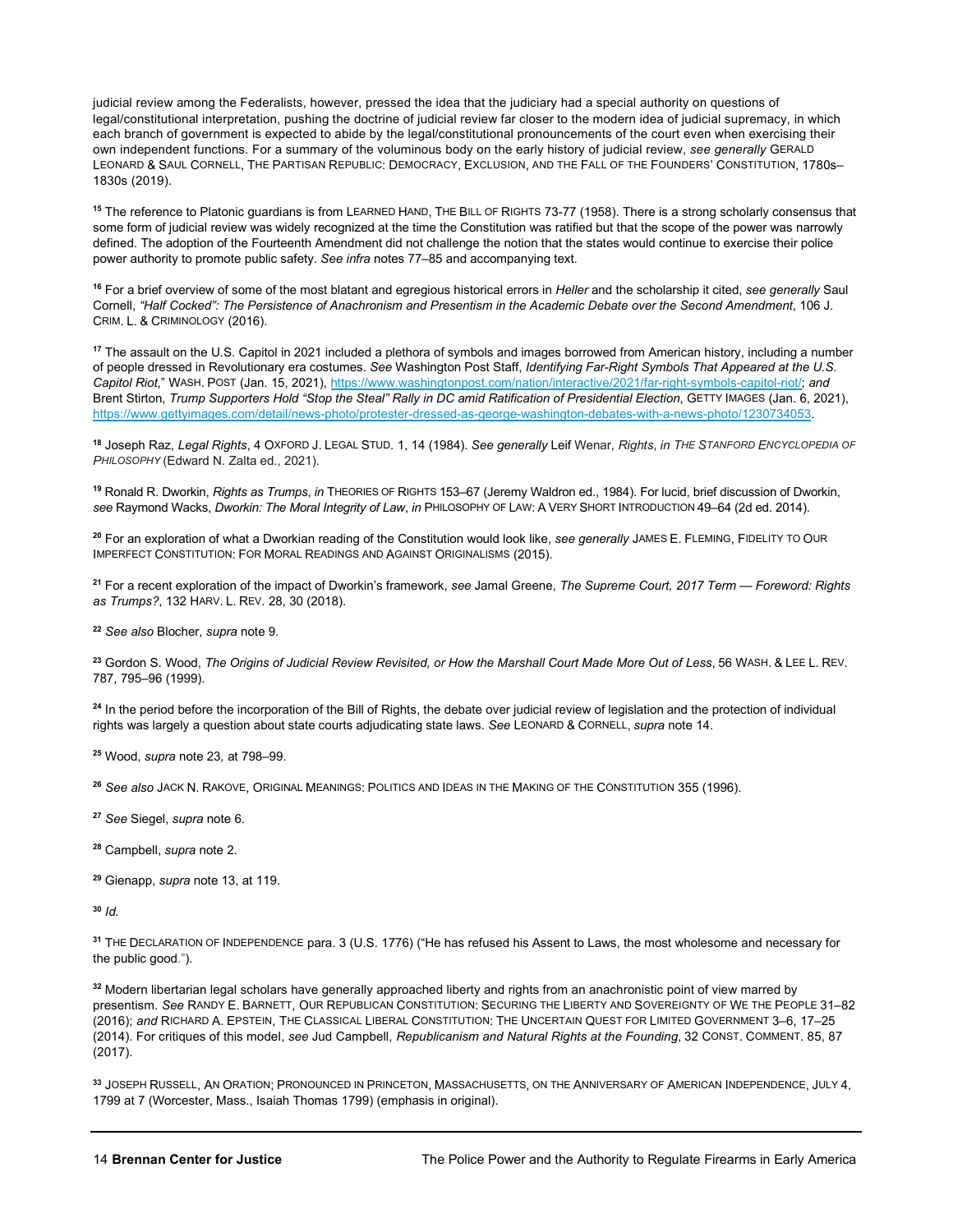judicial review among the Federalists, however, pressed the idea that the judiciary had a special authority on questions of legal/constitutional interpretation, pushing the doctrine of judicial review far closer to the modern idea of judicial supremacy, in which each branch of government is expected to abide by the legal/constitutional pronouncements of the court even when exercising their own independent functions. For a summary of the voluminous body on the early history of judicial review, *see generally* GERALD LEONARD & SAUL CORNELL, THE PARTISAN REPUBLIC: DEMOCRACY, EXCLUSION, AND THE FALL OF THE FOUNDERS' CONSTITUTION, 1780s– 1830s (2019).

<span id="page-13-0"></span>**<sup>15</sup>** The reference to Platonic guardians is from LEARNED HAND, THE BILL OF RIGHTS 73-77 (1958). There is a strong scholarly consensus that some form of judicial review was widely recognized at the time the Constitution was ratified but that the scope of the power was narrowly defined. The adoption of the Fourteenth Amendment did not challenge the notion that the states would continue to exercise their police power authority to promote public safety. *See infra* notes 77–85 and accompanying text.

<span id="page-13-1"></span>**<sup>16</sup>** For a brief overview of some of the most blatant and egregious historical errors in *Heller* and the scholarship it cited, *see generally* Saul Cornell, *"Half Cocked": The Persistence of Anachronism and Presentism in the Academic Debate over the Second Amendment*, 106 J. CRIM. L. & CRIMINOLOGY (2016).

<span id="page-13-2"></span>**<sup>17</sup>** The assault on the U.S. Capitol in 2021 included a plethora of symbols and images borrowed from American history, including a number of people dressed in Revolutionary era costumes. *See* Washington Post Staff, *Identifying Far-Right Symbols That Appeared at the U.S. Capitol Riot*," WASH. POST (Jan. 15, 2021)[, https://www.washingtonpost.com/nation/interactive/2021/far-right-symbols-capitol-riot/;](https://www.washingtonpost.com/nation/interactive/2021/far-right-symbols-capitol-riot/) *and* Brent Stirton, *Trump Supporters Hold "Stop the Steal" Rally in DC amid Ratification of Presidential Election*, GETTY IMAGES (Jan. 6, 2021), [https://www.gettyimages.com/detail/news-photo/protester-dressed-as-george-washington-debates-with-a-news-photo/1230734053.](https://www.gettyimages.com/detail/news-photo/protester-dressed-as-george-washington-debates-with-a-news-photo/1230734053)

<span id="page-13-3"></span>**<sup>18</sup>** Joseph Raz, *Legal Rights*, 4 OXFORD J. LEGAL STUD. 1, 14 (1984). *See generally* Leif Wenar, *Rights*, *in THE STANFORD ENCYCLOPEDIA OF PHILOSOPHY* (Edward N. Zalta ed., 2021).

<span id="page-13-4"></span>**<sup>19</sup>** Ronald R. Dworkin, *Rights as Trumps*, *in* THEORIES OF RIGHTS 153–67 (Jeremy Waldron ed., 1984). For lucid, brief discussion of Dworkin, *see* Raymond Wacks, *Dworkin: The Moral Integrity of Law*, *in* PHILOSOPHY OF LAW: A VERY SHORT INTRODUCTION 49–64 (2d ed. 2014).

<span id="page-13-5"></span>**<sup>20</sup>** For an exploration of what a Dworkian reading of the Constitution would look like, *see generally* JAMES E. FLEMING, FIDELITY TO OUR IMPERFECT CONSTITUTION: FOR MORAL READINGS AND AGAINST ORIGINALISMS (2015).

<span id="page-13-6"></span>**<sup>21</sup>** For a recent exploration of the impact of Dworkin's framework, *see* Jamal Greene, *The Supreme Court, 2017 Term — Foreword: Rights as Trumps?*, 132 HARV. L. REV. 28, 30 (2018).

<span id="page-13-7"></span>**<sup>22</sup>** *See also* Blocher, *supra* note 9.

<span id="page-13-8"></span>**<sup>23</sup>** Gordon S. Wood, *The Origins of Judicial Review Revisited, or How the Marshall Court Made More Out of Less*, 56 WASH. & LEE L. REV. 787, 795–96 (1999).

<span id="page-13-9"></span><sup>24</sup> In the period before the incorporation of the Bill of Rights, the debate over judicial review of legislation and the protection of individual rights was largely a question about state courts adjudicating state laws. *See* LEONARD & CORNELL, *supra* note 14.

<span id="page-13-10"></span>**<sup>25</sup>** Wood, *supra* note 23*,* at 798–99.

<span id="page-13-11"></span>**<sup>26</sup>** *See also* JACK N. RAKOVE, ORIGINAL MEANINGS: POLITICS AND IDEAS IN THE MAKING OF THE CONSTITUTION 355 (1996).

<span id="page-13-12"></span>**<sup>27</sup>** *See* Siegel, *supra* note 6.

<span id="page-13-13"></span>**<sup>28</sup>** Campbell, *supra* note 2.

<span id="page-13-14"></span>**<sup>29</sup>** Gienapp, *supra* note 13, at 119.

<span id="page-13-15"></span>**<sup>30</sup>** *Id.*

<span id="page-13-16"></span>**<sup>31</sup>** THE DECLARATION OF INDEPENDENCE para. 3 (U.S. 1776) ("He has refused his Assent to Laws, the most wholesome and necessary for the public good.").

<span id="page-13-17"></span>**<sup>32</sup>** Modern libertarian legal scholars have generally approached liberty and rights from an anachronistic point of view marred by presentism. *See* RANDY E. BARNETT, OUR REPUBLICAN CONSTITUTION: SECURING THE LIBERTY AND SOVEREIGNTY OF WE THE PEOPLE 31–82 (2016); *and* RICHARD A. EPSTEIN, THE CLASSICAL LIBERAL CONSTITUTION: THE UNCERTAIN QUEST FOR LIMITED GOVERNMENT 3–6, 17–25 (2014). For critiques of this model, *see* Jud Campbell, *Republicanism and Natural Rights at the Founding*, 32 CONST. COMMENT. 85, 87 (2017).

<span id="page-13-18"></span>**<sup>33</sup>** JOSEPH RUSSELL, AN ORATION; PRONOUNCED IN PRINCETON, MASSACHUSETTS, ON THE ANNIVERSARY OF AMERICAN INDEPENDENCE, JULY 4, 1799 at 7 (Worcester, Mass., Isaiah Thomas 1799) (emphasis in original).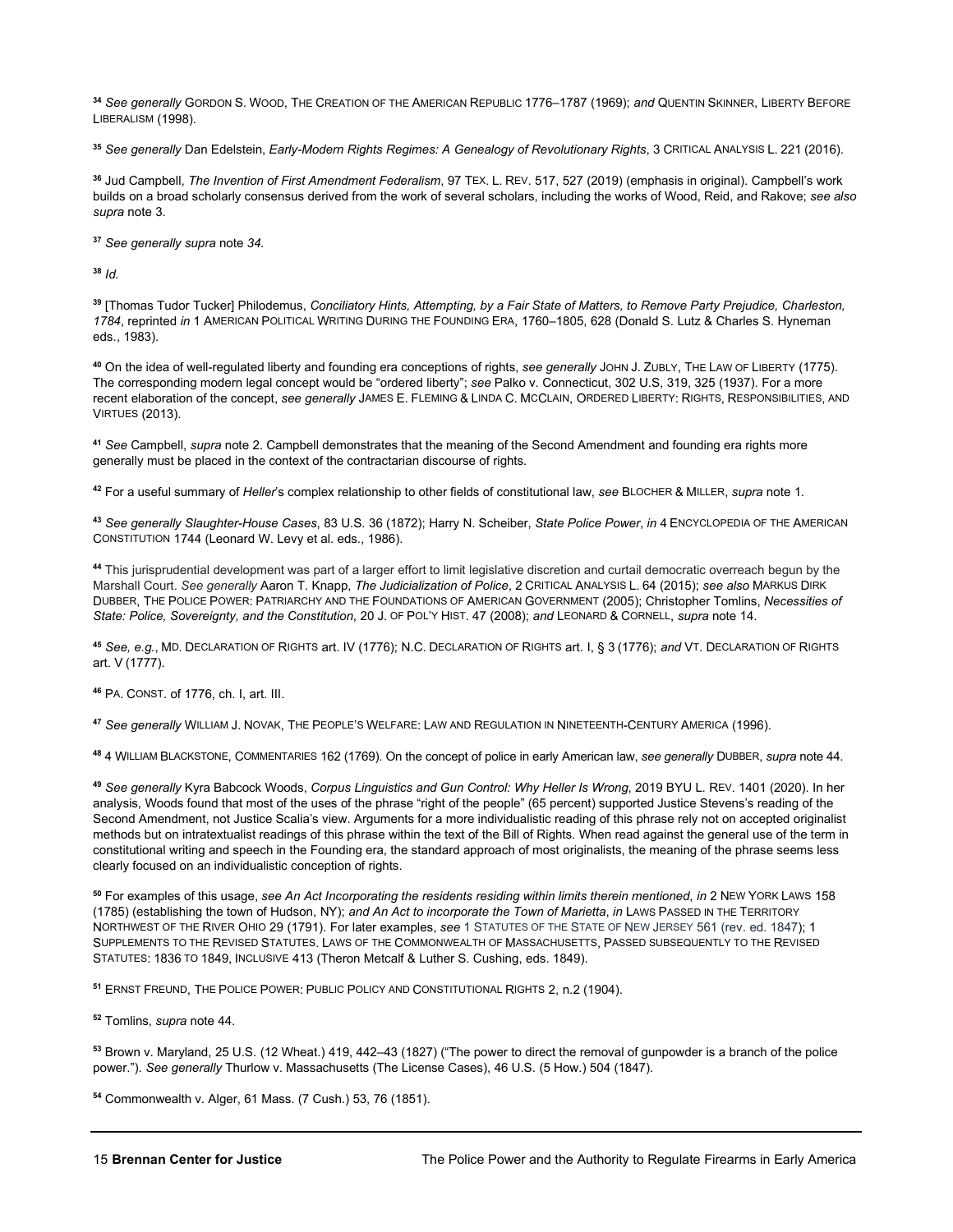<span id="page-14-0"></span>**<sup>34</sup>** *See generally* GORDON S. WOOD, THE CREATION OF THE AMERICAN REPUBLIC 1776–1787 (1969); *and* QUENTIN SKINNER, LIBERTY BEFORE LIBERALISM (1998).

<span id="page-14-1"></span>**<sup>35</sup>** *See generally* Dan Edelstein, *Early-Modern Rights Regimes: A Genealogy of Revolutionary Rights*, 3 CRITICAL ANALYSIS L. 221 (2016).

<span id="page-14-2"></span>**<sup>36</sup>** Jud Campbell, *The Invention of First Amendment Federalism*, 97 TEX. L. REV. 517, 527 (2019) (emphasis in original). Campbell's work builds on a broad scholarly consensus derived from the work of several scholars, including the works of Wood, Reid, and Rakove; *see also supra* note 3.

<span id="page-14-3"></span>**<sup>37</sup>** *See generally supra* note *34.*

<span id="page-14-4"></span>**<sup>38</sup>** *Id.*

<span id="page-14-5"></span>**<sup>39</sup>** [Thomas Tudor Tucker] Philodemus, *Conciliatory Hints, Attempting, by a Fair State of Matters, to Remove Party Prejudice, Charleston, 1784*, reprinted *in* 1 AMERICAN POLITICAL WRITING DURING THE FOUNDING ERA, 1760–1805, 628 (Donald S. Lutz & Charles S. Hyneman eds., 1983).

<span id="page-14-6"></span>**<sup>40</sup>** On the idea of well-regulated liberty and founding era conceptions of rights, *see generally* JOHN J. ZUBLY, THE LAW OF LIBERTY (1775). The corresponding modern legal concept would be "ordered liberty"; *see* Palko v. Connecticut, 302 U.S, 319, 325 (1937). For a more recent elaboration of the concept, *see generally* JAMES E. FLEMING & LINDA C. MCCLAIN, ORDERED LIBERTY: RIGHTS, RESPONSIBILITIES, AND VIRTUES (2013).

<span id="page-14-7"></span>**<sup>41</sup>** *See* Campbell, *supra* note 2. Campbell demonstrates that the meaning of the Second Amendment and founding era rights more generally must be placed in the context of the contractarian discourse of rights.

<span id="page-14-8"></span>**<sup>42</sup>** For a useful summary of *Heller*'s complex relationship to other fields of constitutional law, *see* BLOCHER & MILLER, *supra* note 1.

<span id="page-14-9"></span>**<sup>43</sup>** *See generally Slaughter-House Cases*, 83 U.S. 36 (1872); Harry N. Scheiber, *State Police Power*, *in* 4 ENCYCLOPEDIA OF THE AMERICAN CONSTITUTION 1744 (Leonard W. Levy et al. eds., 1986).

<span id="page-14-10"></span>**<sup>44</sup>** This jurisprudential development was part of a larger effort to limit legislative discretion and curtail democratic overreach begun by the Marshall Court. *See generally* Aaron T. Knapp, *The Judicialization of Police*, 2 CRITICAL ANALYSIS L. 64 (2015); *see also* MARKUS DIRK DUBBER, THE POLICE POWER: PATRIARCHY AND THE FOUNDATIONS OF AMERICAN GOVERNMENT (2005); Christopher Tomlins, *Necessities of State: Police, Sovereignty, and the Constitution*, 20 J. OF POL'Y HIST. 47 (2008); *and* LEONARD & CORNELL, *supra* note 14.

<span id="page-14-11"></span>**<sup>45</sup>** *See, e.g.*, MD. DECLARATION OF RIGHTS art. IV (1776); N.C. DECLARATION OF RIGHTS art. I, § 3 (1776); *and* VT. DECLARATION OF RIGHTS art. V (1777).

<span id="page-14-12"></span>**<sup>46</sup>** PA. CONST. of 1776, ch. I, art. III.

<span id="page-14-13"></span>**<sup>47</sup>** *See generally* WILLIAM J. NOVAK, THE PEOPLE'S WELFARE: LAW AND REGULATION IN NINETEENTH-CENTURY AMERICA (1996).

<span id="page-14-14"></span>**<sup>48</sup>** 4 WILLIAM BLACKSTONE, COMMENTARIES 162 (1769). On the concept of police in early American law, *see generally* DUBBER, *supra* note 44.

<span id="page-14-15"></span>**<sup>49</sup>** *See generally* Kyra Babcock Woods, *Corpus Linguistics and Gun Control: Why Heller Is Wrong*, 2019 BYU L. REV. 1401 (2020). In her analysis, Woods found that most of the uses of the phrase "right of the people" (65 percent) supported Justice Stevens's reading of the Second Amendment, not Justice Scalia's view. Arguments for a more individualistic reading of this phrase rely not on accepted originalist methods but on intratextualist readings of this phrase within the text of the Bill of Rights. When read against the general use of the term in constitutional writing and speech in the Founding era, the standard approach of most originalists, the meaning of the phrase seems less clearly focused on an individualistic conception of rights.

<span id="page-14-16"></span>**<sup>50</sup>** For examples of this usage, *see An Act Incorporating the residents residing within limits therein mentioned*, *in* 2 NEW YORK LAWS 158 (1785) (establishing the town of Hudson, NY); *and An Act to incorporate the Town of Marietta*, *in* LAWS PASSED IN THE TERRITORY NORTHWEST OF THE RIVER OHIO 29 (1791). For later examples, *see* 1 STATUTES OF THE STATE OF NEW JERSEY 561 (rev. ed. 1847); 1 SUPPLEMENTS TO THE REVISED STATUTES. LAWS OF THE COMMONWEALTH OF MASSACHUSETTS, PASSED SUBSEQUENTLY TO THE REVISED STATUTES: 1836 TO 1849, INCLUSIVE 413 (Theron Metcalf & Luther S. Cushing, eds. 1849).

<span id="page-14-17"></span>**<sup>51</sup>** ERNST FREUND, THE POLICE POWER: PUBLIC POLICY AND CONSTITUTIONAL RIGHTS 2, n.2 (1904).

<span id="page-14-18"></span>**<sup>52</sup>** Tomlins, *supra* note 44.

<span id="page-14-19"></span>**<sup>53</sup>** Brown v. Maryland, 25 U.S. (12 Wheat.) 419, 442–43 (1827) ("The power to direct the removal of gunpowder is a branch of the police power."). *See generally* Thurlow v. Massachusetts (The License Cases), 46 U.S. (5 How.) 504 (1847).

<span id="page-14-20"></span>**<sup>54</sup>** Commonwealth v. Alger, 61 Mass. (7 Cush.) 53, 76 (1851).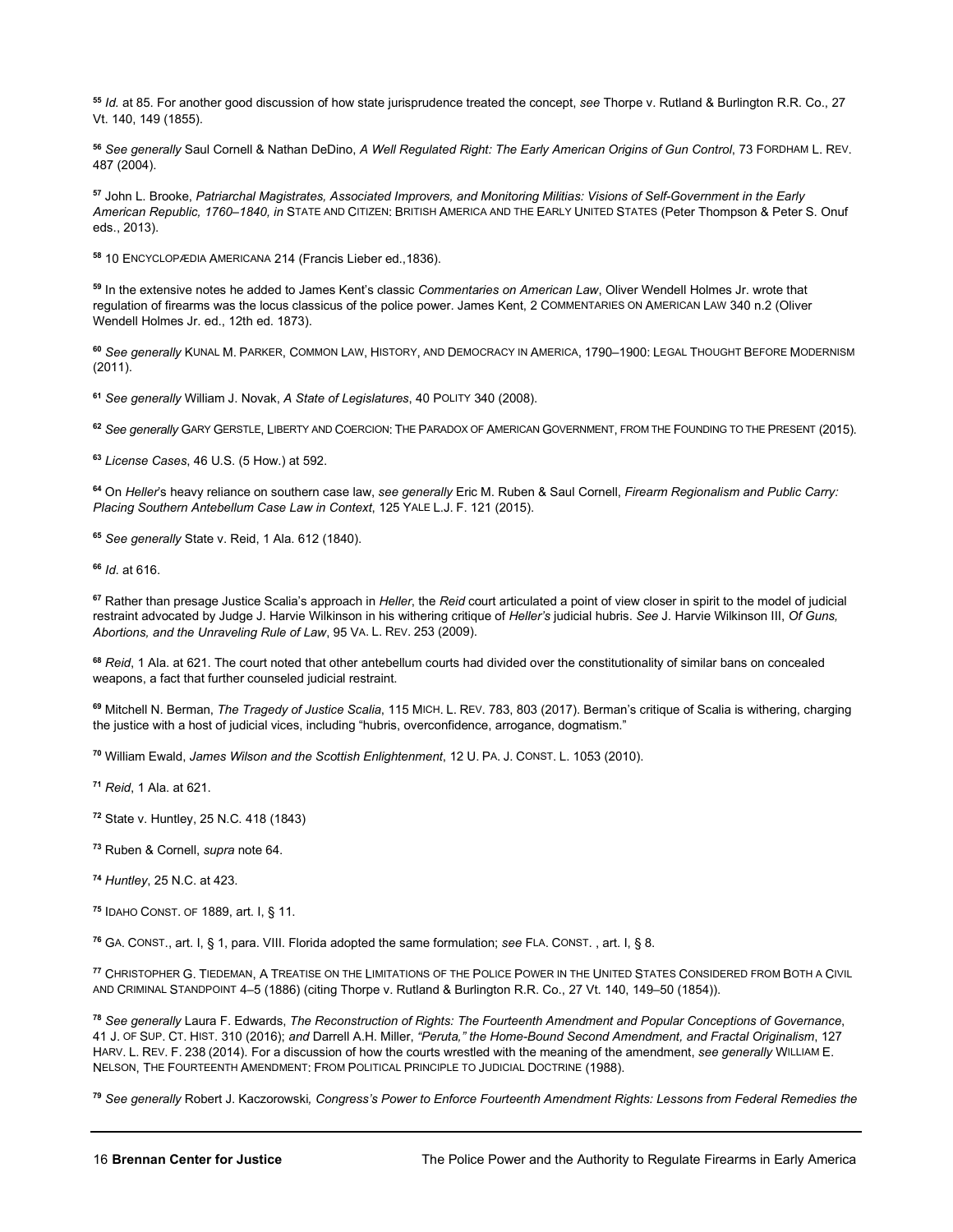<span id="page-15-0"></span>**<sup>55</sup>** *Id.* at 85. For another good discussion of how state jurisprudence treated the concept, *see* Thorpe v. Rutland & Burlington R.R. Co., 27 Vt. 140, 149 (1855).

<span id="page-15-1"></span>**<sup>56</sup>** *See generally* Saul Cornell & Nathan DeDino, *A Well Regulated Right: The Early American Origins of Gun Control*, 73 FORDHAM L. REV. 487 (2004).

<span id="page-15-2"></span>**<sup>57</sup>** John L. Brooke, *Patriarchal Magistrates, Associated Improvers, and Monitoring Militias: Visions of Self-Government in the Early American Republic, 1760–1840, in* STATE AND CITIZEN: BRITISH AMERICA AND THE EARLY UNITED STATES (Peter Thompson & Peter S. Onuf eds., 2013).

<span id="page-15-3"></span>**<sup>58</sup>** 10 ENCYCLOPÆDIA AMERICANA 214 (Francis Lieber ed.,1836).

<span id="page-15-4"></span>**<sup>59</sup>** In the extensive notes he added to James Kent's classic *Commentaries on American Law*, Oliver Wendell Holmes Jr. wrote that regulation of firearms was the locus classicus of the police power. James Kent, 2 COMMENTARIES ON AMERICAN LAW 340 n.2 (Oliver Wendell Holmes Jr. ed., 12th ed. 1873).

<span id="page-15-5"></span>**<sup>60</sup>** *See generally* KUNAL M. PARKER, COMMON LAW, HISTORY, AND DEMOCRACY IN AMERICA, 1790–1900: LEGAL THOUGHT BEFORE MODERNISM (2011).

<span id="page-15-6"></span>**<sup>61</sup>** *See generally* William J. Novak, *A State of Legislatures*, 40 POLITY 340 (2008).

<span id="page-15-7"></span>**<sup>62</sup>** *See generally* GARY GERSTLE, LIBERTY AND COERCION: THE PARADOX OF AMERICAN GOVERNMENT, FROM THE FOUNDING TO THE PRESENT (2015).

<span id="page-15-8"></span>**<sup>63</sup>** *License Cases*, 46 U.S. (5 How.) at 592.

<span id="page-15-9"></span>**<sup>64</sup>** On *Heller*'s heavy reliance on southern case law, *see generally* Eric M. Ruben & Saul Cornell, *Firearm Regionalism and Public Carry: Placing Southern Antebellum Case Law in Context*, 125 YALE L.J. F. 121 (2015).

<span id="page-15-10"></span>**<sup>65</sup>** *See generally* State v. Reid, 1 Ala. 612 (1840).

<span id="page-15-11"></span>**<sup>66</sup>** *Id*. at 616.

<span id="page-15-12"></span>**<sup>67</sup>** Rather than presage Justice Scalia's approach in *Heller*, the *Reid* court articulated a point of view closer in spirit to the model of judicial restraint advocated by Judge J. Harvie Wilkinson in his withering critique of *Heller's* judicial hubris. *See* J. Harvie Wilkinson III, *Of Guns, Abortions, and the Unraveling Rule of Law*, 95 VA. L. REV. 253 (2009).

<span id="page-15-13"></span>**<sup>68</sup>** *Reid*, 1 Ala. at 621. The court noted that other antebellum courts had divided over the constitutionality of similar bans on concealed weapons, a fact that further counseled judicial restraint.

<span id="page-15-14"></span>**<sup>69</sup>** Mitchell N. Berman, *The Tragedy of Justice Scalia*, 115 MICH. L. REV. 783, 803 (2017). Berman's critique of Scalia is withering, charging the justice with a host of judicial vices, including "hubris, overconfidence, arrogance, dogmatism."

<span id="page-15-15"></span>**<sup>70</sup>** William Ewald, *James Wilson and the Scottish Enlightenment*, 12 U. PA. J. CONST. L. 1053 (2010).

<span id="page-15-16"></span>**<sup>71</sup>** *Reid*, 1 Ala. at 621.

<span id="page-15-17"></span>**<sup>72</sup>** State v. Huntley, 25 N.C. 418 (1843)

<span id="page-15-18"></span>**<sup>73</sup>** Ruben & Cornell, *supra* note 64.

<span id="page-15-19"></span>**<sup>74</sup>** *Huntley*, 25 N.C. at 423.

<span id="page-15-20"></span>**<sup>75</sup>** IDAHO CONST. OF 1889, art. I, § 11.

<span id="page-15-21"></span>**<sup>76</sup>** GA. CONST., art. I, § 1, para. VIII. Florida adopted the same formulation; *see* FLA. CONST. , art. I, § 8.

<span id="page-15-22"></span>**<sup>77</sup>** CHRISTOPHER G. TIEDEMAN, A TREATISE ON THE LIMITATIONS OF THE POLICE POWER IN THE UNITED STATES CONSIDERED FROM BOTH A CIVIL AND CRIMINAL STANDPOINT 4–5 (1886) (citing Thorpe v. Rutland & Burlington R.R. Co., 27 Vt. 140, 149–50 (1854)).

<span id="page-15-23"></span>**<sup>78</sup>** *See generally* Laura F. Edwards, *The Reconstruction of Rights: The Fourteenth Amendment and Popular Conceptions of Governance*, 41 J. OF SUP. CT. HIST. 310 (2016); *and* Darrell A.H. Miller, *"Peruta," the Home-Bound Second Amendment, and Fractal Originalism*, 127 HARV. L. REV. F. 238 (2014). For a discussion of how the courts wrestled with the meaning of the amendment, *see generally* WILLIAM E. NELSON, THE FOURTEENTH AMENDMENT: FROM POLITICAL PRINCIPLE TO JUDICIAL DOCTRINE (1988).

<span id="page-15-24"></span>**<sup>79</sup>** *See generally* Robert J. Kaczorowski*, Congress's Power to Enforce Fourteenth Amendment Rights: Lessons from Federal Remedies the*